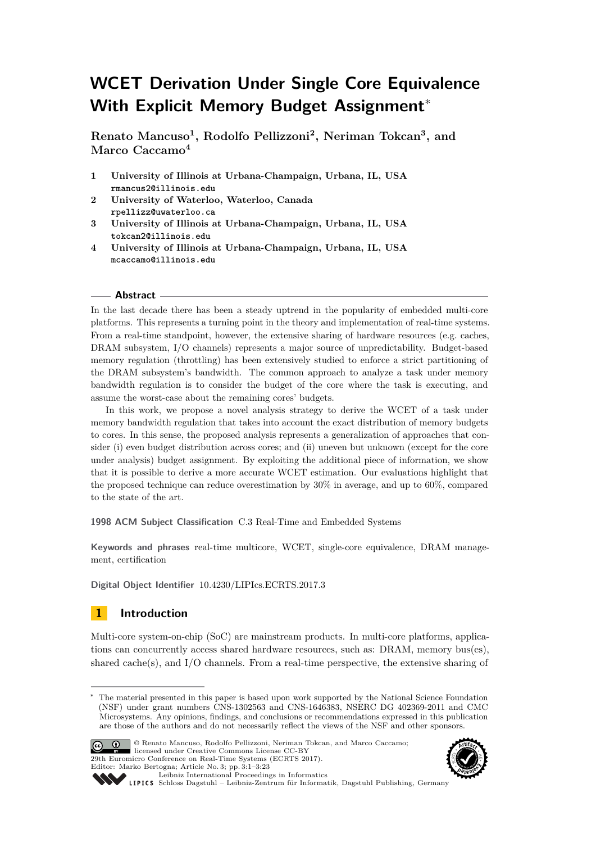# **WCET Derivation Under Single Core Equivalence With Explicit Memory Budget Assignment**<sup>∗</sup>

**Renato Mancuso<sup>1</sup> , Rodolfo Pellizzoni<sup>2</sup> , Neriman Tokcan<sup>3</sup> , and Marco Caccamo<sup>4</sup>**

- **1 University of Illinois at Urbana-Champaign, Urbana, IL, USA rmancus2@illinois.edu**
- **2 University of Waterloo, Waterloo, Canada rpellizz@uwaterloo.ca**
- **3 University of Illinois at Urbana-Champaign, Urbana, IL, USA tokcan2@illinois.edu**
- **4 University of Illinois at Urbana-Champaign, Urbana, IL, USA mcaccamo@illinois.edu**

### **Abstract**

In the last decade there has been a steady uptrend in the popularity of embedded multi-core platforms. This represents a turning point in the theory and implementation of real-time systems. From a real-time standpoint, however, the extensive sharing of hardware resources (e.g. caches, DRAM subsystem, I/O channels) represents a major source of unpredictability. Budget-based memory regulation (throttling) has been extensively studied to enforce a strict partitioning of the DRAM subsystem's bandwidth. The common approach to analyze a task under memory bandwidth regulation is to consider the budget of the core where the task is executing, and assume the worst-case about the remaining cores' budgets.

In this work, we propose a novel analysis strategy to derive the WCET of a task under memory bandwidth regulation that takes into account the exact distribution of memory budgets to cores. In this sense, the proposed analysis represents a generalization of approaches that consider (i) even budget distribution across cores; and (ii) uneven but unknown (except for the core under analysis) budget assignment. By exploiting the additional piece of information, we show that it is possible to derive a more accurate WCET estimation. Our evaluations highlight that the proposed technique can reduce overestimation by 30% in average, and up to 60%, compared to the state of the art.

**1998 ACM Subject Classification** C.3 Real-Time and Embedded Systems

**Keywords and phrases** real-time multicore, WCET, single-core equivalence, DRAM management, certification

**Digital Object Identifier** [10.4230/LIPIcs.ECRTS.2017.3](http://dx.doi.org/10.4230/LIPIcs.ECRTS.2017.3)

# **1 Introduction**

Multi-core system-on-chip (SoC) are mainstream products. In multi-core platforms, applications can concurrently access shared hardware resources, such as: DRAM, memory bus(es), shared cache(s), and I/O channels. From a real-time perspective, the extensive sharing of

The material presented in this paper is based upon work supported by the National Science Foundation (NSF) under grant numbers CNS-1302563 and CNS-1646383, NSERC DG 402369-2011 and CMC Microsystems. Any opinions, findings, and conclusions or recommendations expressed in this publication are those of the authors and do not necessarily reflect the views of the NSF and other sponsors.



© Renato Mancuso, Rodolfo Pellizzoni, Neriman Tokcan, and Marco Caccamo; licensed under Creative Commons License CC-BY 29th Euromicro Conference on Real-Time Systems (ECRTS 2017). Editor: Marko Bertogna; Article No. 3; pp. 3:1–3[:23](#page-22-0)



[Leibniz International Proceedings in Informatics](http://www.dagstuhl.de/lipics/) Leibniz international Froceedings in missimosischer Magstuhl Publishing, Germany<br>LIPICS [Schloss Dagstuhl – Leibniz-Zentrum für Informatik, Dagstuhl Publishing, Germany](http://www.dagstuhl.de)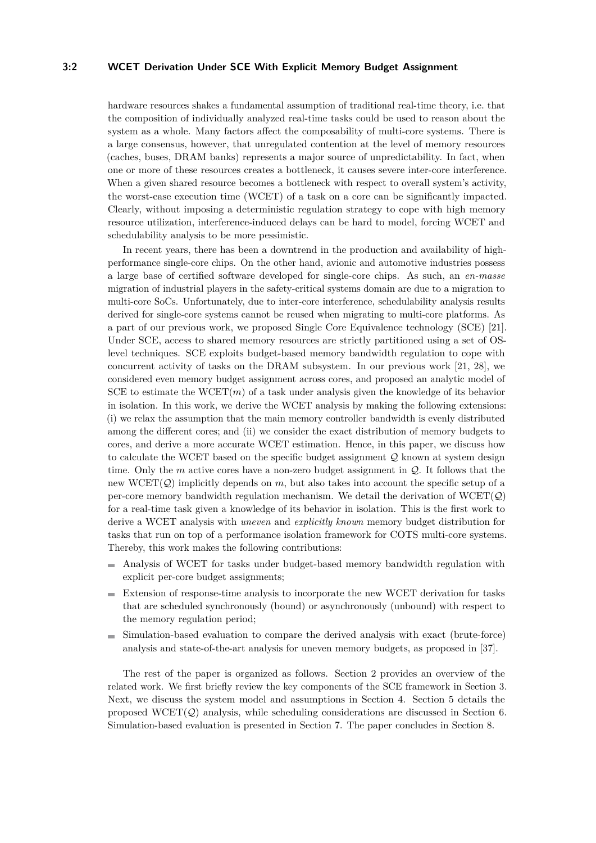### **3:2 WCET Derivation Under SCE With Explicit Memory Budget Assignment**

hardware resources shakes a fundamental assumption of traditional real-time theory, i.e. that the composition of individually analyzed real-time tasks could be used to reason about the system as a whole. Many factors affect the composability of multi-core systems. There is a large consensus, however, that unregulated contention at the level of memory resources (caches, buses, DRAM banks) represents a major source of unpredictability. In fact, when one or more of these resources creates a bottleneck, it causes severe inter-core interference. When a given shared resource becomes a bottleneck with respect to overall system's activity, the worst-case execution time (WCET) of a task on a core can be significantly impacted. Clearly, without imposing a deterministic regulation strategy to cope with high memory resource utilization, interference-induced delays can be hard to model, forcing WCET and schedulability analysis to be more pessimistic.

In recent years, there has been a downtrend in the production and availability of highperformance single-core chips. On the other hand, avionic and automotive industries possess a large base of certified software developed for single-core chips. As such, an *en-masse* migration of industrial players in the safety-critical systems domain are due to a migration to multi-core SoCs. Unfortunately, due to inter-core interference, schedulability analysis results derived for single-core systems cannot be reused when migrating to multi-core platforms. As a part of our previous work, we proposed Single Core Equivalence technology (SCE) [\[21\]](#page-21-0). Under SCE, access to shared memory resources are strictly partitioned using a set of OSlevel techniques. SCE exploits budget-based memory bandwidth regulation to cope with concurrent activity of tasks on the DRAM subsystem. In our previous work [\[21,](#page-21-0) [28\]](#page-21-1), we considered even memory budget assignment across cores, and proposed an analytic model of SCE to estimate the WCET $(m)$  of a task under analysis given the knowledge of its behavior in isolation. In this work, we derive the WCET analysis by making the following extensions: (i) we relax the assumption that the main memory controller bandwidth is evenly distributed among the different cores; and (ii) we consider the exact distribution of memory budgets to cores, and derive a more accurate WCET estimation. Hence, in this paper, we discuss how to calculate the WCET based on the specific budget assignment  $\mathcal Q$  known at system design time. Only the  $m$  active cores have a non-zero budget assignment in  $\mathcal{Q}$ . It follows that the new  $WCET(Q)$  implicitly depends on *m*, but also takes into account the specific setup of a per-core memory bandwidth regulation mechanism. We detail the derivation of  $WCET(Q)$ for a real-time task given a knowledge of its behavior in isolation. This is the first work to derive a WCET analysis with *uneven* and *explicitly known* memory budget distribution for tasks that run on top of a performance isolation framework for COTS multi-core systems. Thereby, this work makes the following contributions:

- Analysis of WCET for tasks under budget-based memory bandwidth regulation with explicit per-core budget assignments;
- Extension of response-time analysis to incorporate the new WCET derivation for tasks that are scheduled synchronously (bound) or asynchronously (unbound) with respect to the memory regulation period;
- $\blacksquare$  Simulation-based evaluation to compare the derived analysis with exact (brute-force) analysis and state-of-the-art analysis for uneven memory budgets, as proposed in [\[37\]](#page-22-1).

The rest of the paper is organized as follows. Section [2](#page-2-0) provides an overview of the related work. We first briefly review the key components of the SCE framework in Section [3.](#page-3-0) Next, we discuss the system model and assumptions in Section [4.](#page-4-0) Section [5](#page-6-0) details the proposed  $WCET(Q)$  analysis, while scheduling considerations are discussed in Section [6.](#page-15-0) Simulation-based evaluation is presented in Section [7.](#page-17-0) The paper concludes in Section [8.](#page-19-0)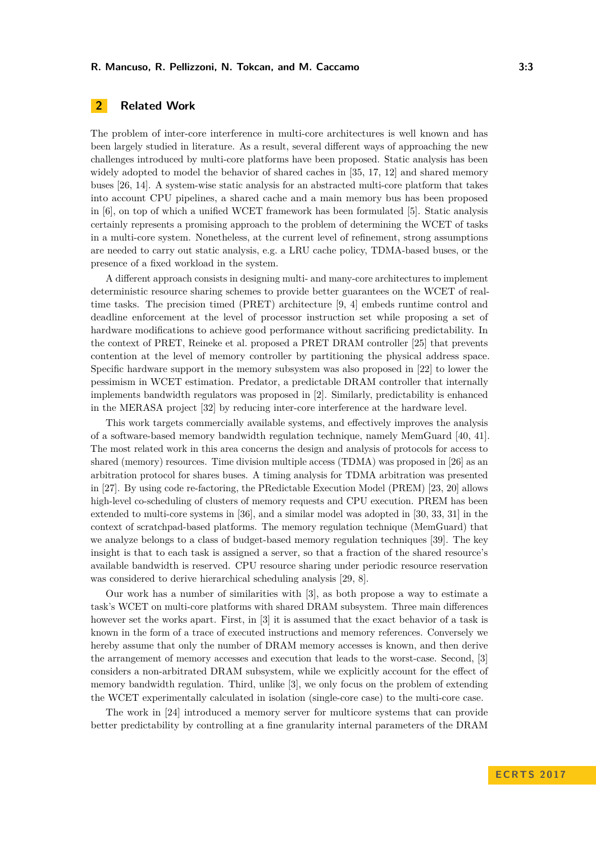# <span id="page-2-0"></span>**2 Related Work**

The problem of inter-core interference in multi-core architectures is well known and has been largely studied in literature. As a result, several different ways of approaching the new challenges introduced by multi-core platforms have been proposed. Static analysis has been widely adopted to model the behavior of shared caches in [\[35,](#page-22-2) [17,](#page-21-2) [12\]](#page-20-0) and shared memory buses [\[26,](#page-21-3) [14\]](#page-20-1). A system-wise static analysis for an abstracted multi-core platform that takes into account CPU pipelines, a shared cache and a main memory bus has been proposed in [\[6\]](#page-20-2), on top of which a unified WCET framework has been formulated [\[5\]](#page-20-3). Static analysis certainly represents a promising approach to the problem of determining the WCET of tasks in a multi-core system. Nonetheless, at the current level of refinement, strong assumptions are needed to carry out static analysis, e.g. a LRU cache policy, TDMA-based buses, or the presence of a fixed workload in the system.

A different approach consists in designing multi- and many-core architectures to implement deterministic resource sharing schemes to provide better guarantees on the WCET of realtime tasks. The precision timed (PRET) architecture [\[9,](#page-20-4) [4\]](#page-20-5) embeds runtime control and deadline enforcement at the level of processor instruction set while proposing a set of hardware modifications to achieve good performance without sacrificing predictability. In the context of PRET, Reineke et al. proposed a PRET DRAM controller [\[25\]](#page-21-4) that prevents contention at the level of memory controller by partitioning the physical address space. Specific hardware support in the memory subsystem was also proposed in [\[22\]](#page-21-5) to lower the pessimism in WCET estimation. Predator, a predictable DRAM controller that internally implements bandwidth regulators was proposed in [\[2\]](#page-20-6). Similarly, predictability is enhanced in the MERASA project [\[32\]](#page-22-3) by reducing inter-core interference at the hardware level.

This work targets commercially available systems, and effectively improves the analysis of a software-based memory bandwidth regulation technique, namely MemGuard [\[40,](#page-22-4) [41\]](#page-22-5). The most related work in this area concerns the design and analysis of protocols for access to shared (memory) resources. Time division multiple access (TDMA) was proposed in [\[26\]](#page-21-3) as an arbitration protocol for shares buses. A timing analysis for TDMA arbitration was presented in [\[27\]](#page-21-6). By using code re-factoring, the PRedictable Execution Model (PREM) [\[23,](#page-21-7) [20\]](#page-21-8) allows high-level co-scheduling of clusters of memory requests and CPU execution. PREM has been extended to multi-core systems in [\[36\]](#page-22-6), and a similar model was adopted in [\[30,](#page-22-7) [33,](#page-22-8) [31\]](#page-22-9) in the context of scratchpad-based platforms. The memory regulation technique (MemGuard) that we analyze belongs to a class of budget-based memory regulation techniques [\[39\]](#page-22-10). The key insight is that to each task is assigned a server, so that a fraction of the shared resource's available bandwidth is reserved. CPU resource sharing under periodic resource reservation was considered to derive hierarchical scheduling analysis [\[29,](#page-22-11) [8\]](#page-20-7).

Our work has a number of similarities with [\[3\]](#page-20-8), as both propose a way to estimate a task's WCET on multi-core platforms with shared DRAM subsystem. Three main differences however set the works apart. First, in [\[3\]](#page-20-8) it is assumed that the exact behavior of a task is known in the form of a trace of executed instructions and memory references. Conversely we hereby assume that only the number of DRAM memory accesses is known, and then derive the arrangement of memory accesses and execution that leads to the worst-case. Second, [\[3\]](#page-20-8) considers a non-arbitrated DRAM subsystem, while we explicitly account for the effect of memory bandwidth regulation. Third, unlike [\[3\]](#page-20-8), we only focus on the problem of extending the WCET experimentally calculated in isolation (single-core case) to the multi-core case.

The work in [\[24\]](#page-21-9) introduced a memory server for multicore systems that can provide better predictability by controlling at a fine granularity internal parameters of the DRAM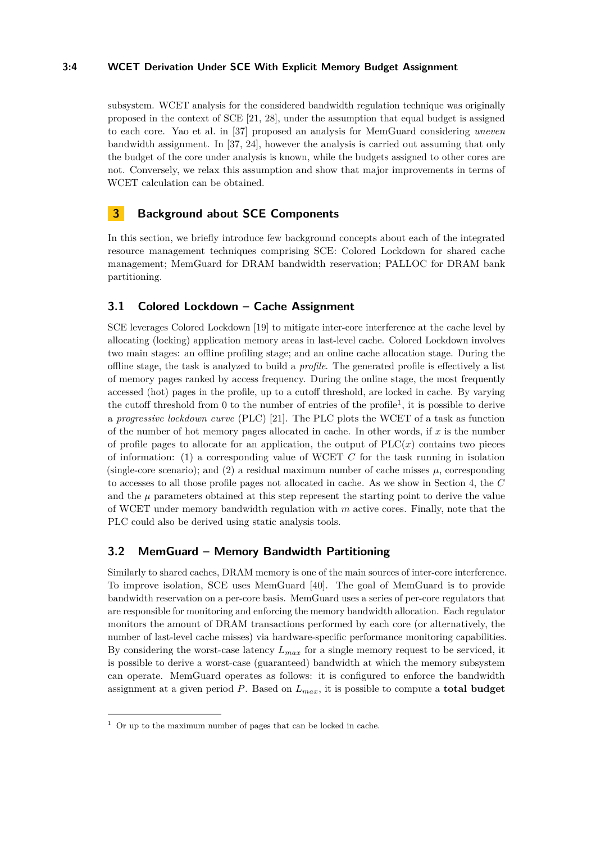### **3:4 WCET Derivation Under SCE With Explicit Memory Budget Assignment**

subsystem. WCET analysis for the considered bandwidth regulation technique was originally proposed in the context of SCE [\[21,](#page-21-0) [28\]](#page-21-1), under the assumption that equal budget is assigned to each core. Yao et al. in [\[37\]](#page-22-1) proposed an analysis for MemGuard considering *uneven* bandwidth assignment. In [\[37,](#page-22-1) [24\]](#page-21-9), however the analysis is carried out assuming that only the budget of the core under analysis is known, while the budgets assigned to other cores are not. Conversely, we relax this assumption and show that major improvements in terms of WCET calculation can be obtained.

# <span id="page-3-0"></span>**3 Background about SCE Components**

In this section, we briefly introduce few background concepts about each of the integrated resource management techniques comprising SCE: Colored Lockdown for shared cache management; MemGuard for DRAM bandwidth reservation; PALLOC for DRAM bank partitioning.

# **3.1 Colored Lockdown – Cache Assignment**

SCE leverages Colored Lockdown [\[19\]](#page-21-10) to mitigate inter-core interference at the cache level by allocating (locking) application memory areas in last-level cache. Colored Lockdown involves two main stages: an offline profiling stage; and an online cache allocation stage. During the offline stage, the task is analyzed to build a *profile*. The generated profile is effectively a list of memory pages ranked by access frequency. During the online stage, the most frequently accessed (hot) pages in the profile, up to a cutoff threshold, are locked in cache. By varying the cutoff threshold from 0 to the number of entries of the profile<sup>[1](#page-3-1)</sup>, it is possible to derive a *progressive lockdown curve* (PLC) [\[21\]](#page-21-0). The PLC plots the WCET of a task as function of the number of hot memory pages allocated in cache. In other words, if *x* is the number of profile pages to allocate for an application, the output of  $PLC(x)$  contains two pieces of information: (1) a corresponding value of WCET *C* for the task running in isolation (single-core scenario); and  $(2)$  a residual maximum number of cache misses  $\mu$ , corresponding to accesses to all those profile pages not allocated in cache. As we show in Section [4,](#page-4-0) the *C* and the  $\mu$  parameters obtained at this step represent the starting point to derive the value of WCET under memory bandwidth regulation with *m* active cores. Finally, note that the PLC could also be derived using static analysis tools.

# **3.2 MemGuard – Memory Bandwidth Partitioning**

Similarly to shared caches, DRAM memory is one of the main sources of inter-core interference. To improve isolation, SCE uses MemGuard [\[40\]](#page-22-4). The goal of MemGuard is to provide bandwidth reservation on a per-core basis. MemGuard uses a series of per-core regulators that are responsible for monitoring and enforcing the memory bandwidth allocation. Each regulator monitors the amount of DRAM transactions performed by each core (or alternatively, the number of last-level cache misses) via hardware-specific performance monitoring capabilities. By considering the worst-case latency *Lmax* for a single memory request to be serviced, it is possible to derive a worst-case (guaranteed) bandwidth at which the memory subsystem can operate. MemGuard operates as follows: it is configured to enforce the bandwidth assignment at a given period *P*. Based on *Lmax*, it is possible to compute a **total budget**

<span id="page-3-1"></span> $1$  Or up to the maximum number of pages that can be locked in cache.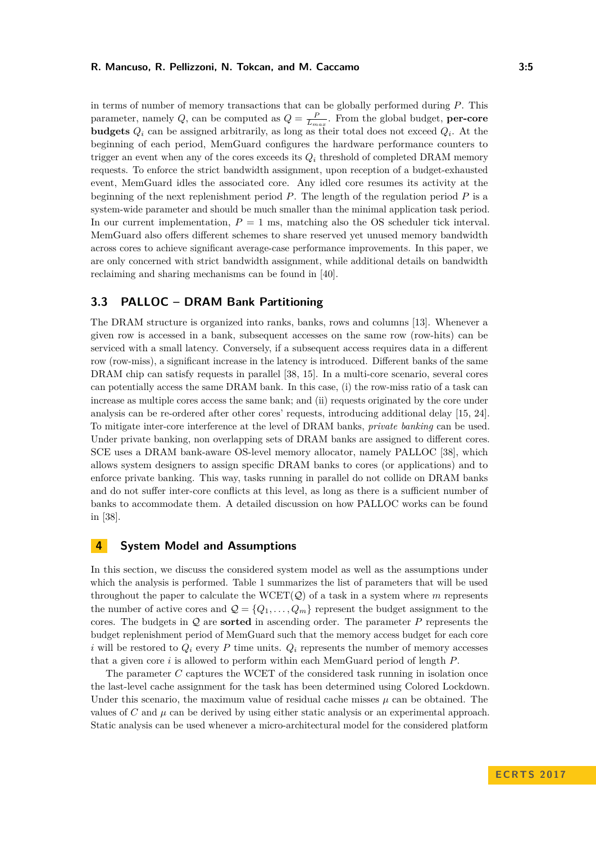in terms of number of memory transactions that can be globally performed during *P*. This parameter, namely *Q*, can be computed as  $Q = \frac{P}{L_{max}}$ . From the global budget, **per-core budgets**  $Q_i$  can be assigned arbitrarily, as long as their total does not exceed  $Q_i$ . At the beginning of each period, MemGuard configures the hardware performance counters to trigger an event when any of the cores exceeds its  $Q_i$  threshold of completed DRAM memory requests. To enforce the strict bandwidth assignment, upon reception of a budget-exhausted event, MemGuard idles the associated core. Any idled core resumes its activity at the beginning of the next replenishment period *P*. The length of the regulation period *P* is a system-wide parameter and should be much smaller than the minimal application task period. In our current implementation,  $P = 1$  ms, matching also the OS scheduler tick interval. MemGuard also offers different schemes to share reserved yet unused memory bandwidth across cores to achieve significant average-case performance improvements. In this paper, we are only concerned with strict bandwidth assignment, while additional details on bandwidth reclaiming and sharing mechanisms can be found in [\[40\]](#page-22-4).

# **3.3 PALLOC – DRAM Bank Partitioning**

The DRAM structure is organized into ranks, banks, rows and columns [\[13\]](#page-20-9). Whenever a given row is accessed in a bank, subsequent accesses on the same row (row-hits) can be serviced with a small latency. Conversely, if a subsequent access requires data in a different row (row-miss), a significant increase in the latency is introduced. Different banks of the same DRAM chip can satisfy requests in parallel [\[38,](#page-22-12) [15\]](#page-21-11). In a multi-core scenario, several cores can potentially access the same DRAM bank. In this case, (i) the row-miss ratio of a task can increase as multiple cores access the same bank; and (ii) requests originated by the core under analysis can be re-ordered after other cores' requests, introducing additional delay [\[15,](#page-21-11) [24\]](#page-21-9). To mitigate inter-core interference at the level of DRAM banks, *private banking* can be used. Under private banking, non overlapping sets of DRAM banks are assigned to different cores. SCE uses a DRAM bank-aware OS-level memory allocator, namely PALLOC [\[38\]](#page-22-12), which allows system designers to assign specific DRAM banks to cores (or applications) and to enforce private banking. This way, tasks running in parallel do not collide on DRAM banks and do not suffer inter-core conflicts at this level, as long as there is a sufficient number of banks to accommodate them. A detailed discussion on how PALLOC works can be found in [\[38\]](#page-22-12).

### <span id="page-4-0"></span>**4 System Model and Assumptions**

In this section, we discuss the considered system model as well as the assumptions under which the analysis is performed. Table [1](#page-5-0) summarizes the list of parameters that will be used throughout the paper to calculate the  $WCET(Q)$  of a task in a system where  $m$  represents the number of active cores and  $\mathcal{Q} = \{Q_1, \ldots, Q_m\}$  represent the budget assignment to the cores. The budgets in Q are **sorted** in ascending order. The parameter *P* represents the budget replenishment period of MemGuard such that the memory access budget for each core *i* will be restored to  $Q_i$  every P time units.  $Q_i$  represents the number of memory accesses that a given core *i* is allowed to perform within each MemGuard period of length *P*.

The parameter *C* captures the WCET of the considered task running in isolation once the last-level cache assignment for the task has been determined using Colored Lockdown. Under this scenario, the maximum value of residual cache misses  $\mu$  can be obtained. The values of *C* and  $\mu$  can be derived by using either static analysis or an experimental approach. Static analysis can be used whenever a micro-architectural model for the considered platform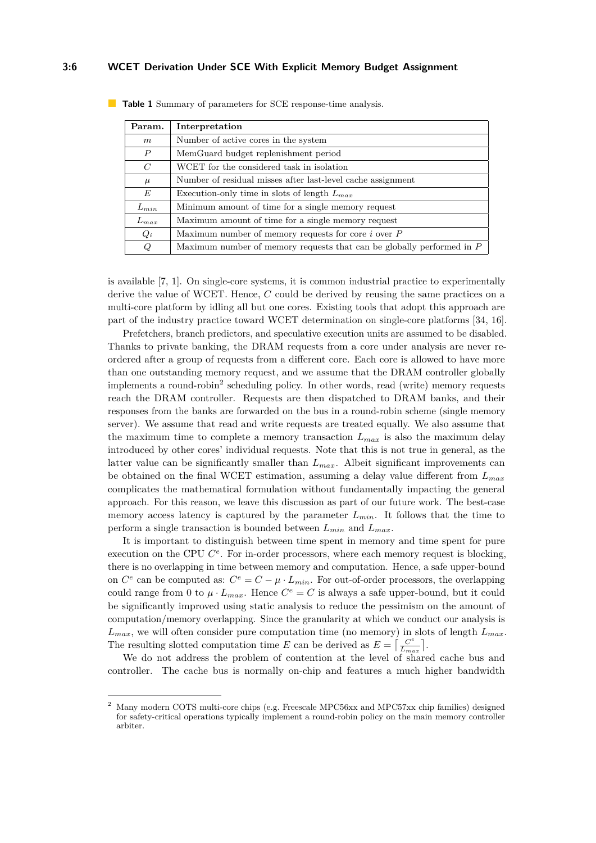### **3:6 WCET Derivation Under SCE With Explicit Memory Budget Assignment**

| Param.           | Interpretation                                                          |
|------------------|-------------------------------------------------------------------------|
| m                | Number of active cores in the system                                    |
| $\boldsymbol{P}$ | MemGuard budget replenishment period                                    |
| $\,C$            | WCET for the considered task in isolation                               |
| $\mu$            | Number of residual misses after last-level cache assignment             |
| E                | Execution-only time in slots of length $L_{max}$                        |
| $L_{min}$        | Minimum amount of time for a single memory request                      |
| $L_{max}$        | Maximum amount of time for a single memory request                      |
| $Q_i$            | Maximum number of memory requests for core $i$ over $P$                 |
| Q                | Maximum number of memory requests that can be globally performed in $P$ |

<span id="page-5-0"></span>**Table 1** Summary of parameters for SCE response-time analysis.

is available [\[7,](#page-20-10) [1\]](#page-20-11). On single-core systems, it is common industrial practice to experimentally derive the value of WCET. Hence, *C* could be derived by reusing the same practices on a multi-core platform by idling all but one cores. Existing tools that adopt this approach are part of the industry practice toward WCET determination on single-core platforms [\[34,](#page-22-13) [16\]](#page-21-12).

Prefetchers, branch predictors, and speculative execution units are assumed to be disabled. Thanks to private banking, the DRAM requests from a core under analysis are never reordered after a group of requests from a different core. Each core is allowed to have more than one outstanding memory request, and we assume that the DRAM controller globally implements a round-robin<sup>[2](#page-5-1)</sup> scheduling policy. In other words, read (write) memory requests reach the DRAM controller. Requests are then dispatched to DRAM banks, and their responses from the banks are forwarded on the bus in a round-robin scheme (single memory server). We assume that read and write requests are treated equally. We also assume that the maximum time to complete a memory transaction  $L_{max}$  is also the maximum delay introduced by other cores' individual requests. Note that this is not true in general, as the latter value can be significantly smaller than *Lmax*. Albeit significant improvements can be obtained on the final WCET estimation, assuming a delay value different from *Lmax* complicates the mathematical formulation without fundamentally impacting the general approach. For this reason, we leave this discussion as part of our future work. The best-case memory access latency is captured by the parameter  $L_{min}$ . It follows that the time to perform a single transaction is bounded between *Lmin* and *Lmax*.

It is important to distinguish between time spent in memory and time spent for pure execution on the CPU  $C^e$ . For in-order processors, where each memory request is blocking, there is no overlapping in time between memory and computation. Hence, a safe upper-bound on  $C^e$  can be computed as:  $C^e = C - \mu \cdot L_{min}$ . For out-of-order processors, the overlapping could range from 0 to  $\mu \cdot L_{max}$ . Hence  $C^e = C$  is always a safe upper-bound, but it could be significantly improved using static analysis to reduce the pessimism on the amount of computation/memory overlapping. Since the granularity at which we conduct our analysis is  $L_{max}$ , we will often consider pure computation time (no memory) in slots of length  $L_{max}$ . The resulting slotted computation time *E* can be derived as  $E = \frac{C^e}{L}$  $\frac{C^e}{L_{max}}$ .

We do not address the problem of contention at the level of shared cache bus and controller. The cache bus is normally on-chip and features a much higher bandwidth

<span id="page-5-1"></span><sup>2</sup> Many modern COTS multi-core chips (e.g. Freescale MPC56xx and MPC57xx chip families) designed for safety-critical operations typically implement a round-robin policy on the main memory controller arbiter.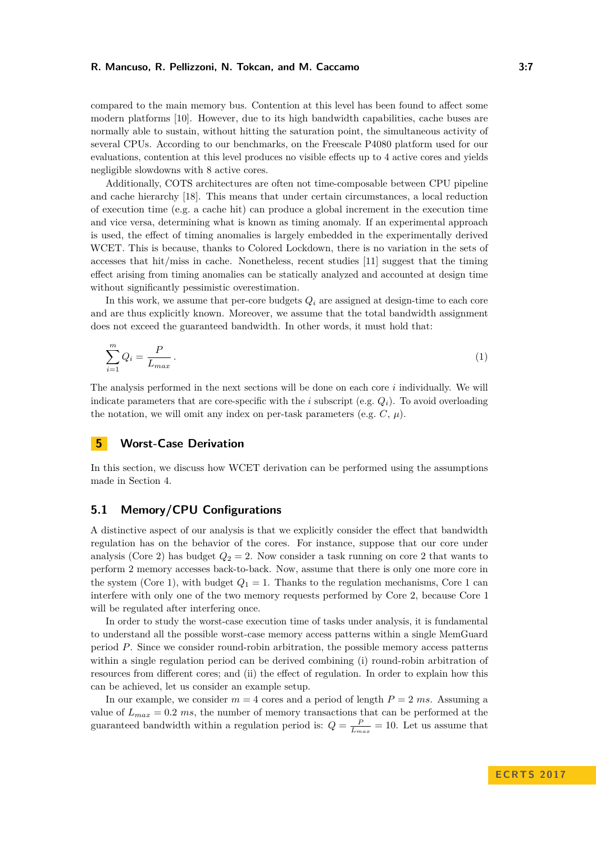compared to the main memory bus. Contention at this level has been found to affect some modern platforms [\[10\]](#page-20-12). However, due to its high bandwidth capabilities, cache buses are normally able to sustain, without hitting the saturation point, the simultaneous activity of several CPUs. According to our benchmarks, on the Freescale P4080 platform used for our evaluations, contention at this level produces no visible effects up to 4 active cores and yields negligible slowdowns with 8 active cores.

Additionally, COTS architectures are often not time-composable between CPU pipeline and cache hierarchy [\[18\]](#page-21-13). This means that under certain circumstances, a local reduction of execution time (e.g. a cache hit) can produce a global increment in the execution time and vice versa, determining what is known as timing anomaly. If an experimental approach is used, the effect of timing anomalies is largely embedded in the experimentally derived WCET. This is because, thanks to Colored Lockdown, there is no variation in the sets of accesses that hit/miss in cache. Nonetheless, recent studies [\[11\]](#page-20-13) suggest that the timing effect arising from timing anomalies can be statically analyzed and accounted at design time without significantly pessimistic overestimation.

In this work, we assume that per-core budgets  $Q_i$  are assigned at design-time to each core and are thus explicitly known. Moreover, we assume that the total bandwidth assignment does not exceed the guaranteed bandwidth. In other words, it must hold that:

<span id="page-6-1"></span>
$$
\sum_{i=1}^{m} Q_i = \frac{P}{L_{max}}.
$$
\n<sup>(1)</sup>

The analysis performed in the next sections will be done on each core *i* individually. We will indicate parameters that are core-specific with the *i* subscript (e.g.  $Q_i$ ). To avoid overloading the notation, we will omit any index on per-task parameters (e.g.  $C, \mu$ ).

# <span id="page-6-0"></span>**5 Worst-Case Derivation**

In this section, we discuss how WCET derivation can be performed using the assumptions made in Section [4.](#page-4-0)

# **5.1 Memory/CPU Configurations**

A distinctive aspect of our analysis is that we explicitly consider the effect that bandwidth regulation has on the behavior of the cores. For instance, suppose that our core under analysis (Core 2) has budget  $Q_2 = 2$ . Now consider a task running on core 2 that wants to perform 2 memory accesses back-to-back. Now, assume that there is only one more core in the system (Core 1), with budget  $Q_1 = 1$ . Thanks to the regulation mechanisms, Core 1 can interfere with only one of the two memory requests performed by Core 2, because Core 1 will be regulated after interfering once.

In order to study the worst-case execution time of tasks under analysis, it is fundamental to understand all the possible worst-case memory access patterns within a single MemGuard period *P*. Since we consider round-robin arbitration, the possible memory access patterns within a single regulation period can be derived combining (i) round-robin arbitration of resources from different cores; and (ii) the effect of regulation. In order to explain how this can be achieved, let us consider an example setup.

In our example, we consider  $m = 4$  cores and a period of length  $P = 2$  ms. Assuming a value of  $L_{max} = 0.2$  *ms*, the number of memory transactions that can be performed at the guaranteed bandwidth within a regulation period is:  $Q = \frac{P}{L_{max}} = 10$ . Let us assume that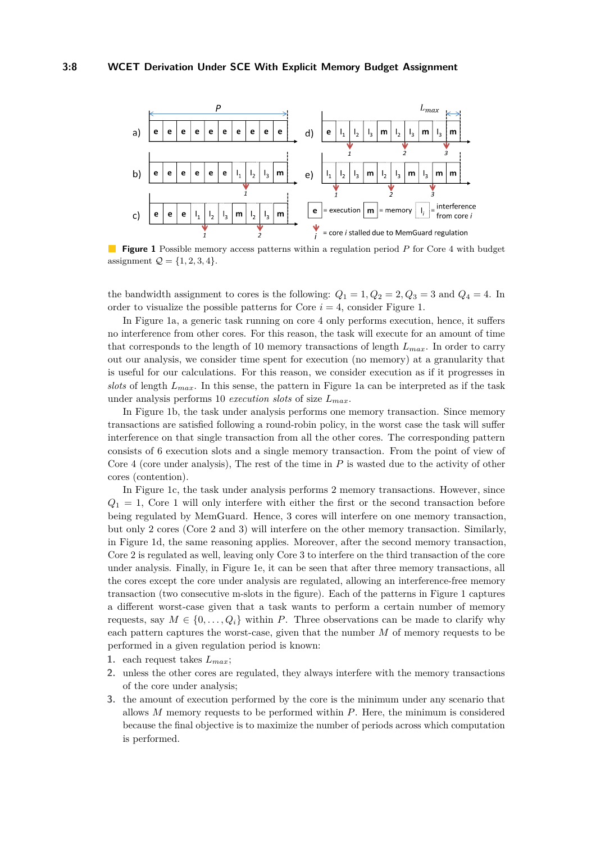<span id="page-7-0"></span>

**Figure 1** Possible memory access patterns within a regulation period *P* for Core 4 with budget assignment  $Q = \{1, 2, 3, 4\}.$ 

the bandwidth assignment to cores is the following:  $Q_1 = 1, Q_2 = 2, Q_3 = 3$  and  $Q_4 = 4$ . In order to visualize the possible patterns for Core  $i = 4$ , consider Figure [1.](#page-7-0)

In Figure [1a](#page-7-0), a generic task running on core 4 only performs execution, hence, it suffers no interference from other cores. For this reason, the task will execute for an amount of time that corresponds to the length of 10 memory transactions of length *Lmax*. In order to carry out our analysis, we consider time spent for execution (no memory) at a granularity that is useful for our calculations. For this reason, we consider execution as if it progresses in *slots* of length *Lmax*. In this sense, the pattern in Figure [1a](#page-7-0) can be interpreted as if the task under analysis performs 10 *execution slots* of size *Lmax*.

In Figure [1b](#page-7-0), the task under analysis performs one memory transaction. Since memory transactions are satisfied following a round-robin policy, in the worst case the task will suffer interference on that single transaction from all the other cores. The corresponding pattern consists of 6 execution slots and a single memory transaction. From the point of view of Core 4 (core under analysis), The rest of the time in *P* is wasted due to the activity of other cores (contention).

In Figure [1c](#page-7-0), the task under analysis performs 2 memory transactions. However, since  $Q_1 = 1$ , Core 1 will only interfere with either the first or the second transaction before being regulated by MemGuard. Hence, 3 cores will interfere on one memory transaction, but only 2 cores (Core 2 and 3) will interfere on the other memory transaction. Similarly, in Figure [1d](#page-7-0), the same reasoning applies. Moreover, after the second memory transaction, Core 2 is regulated as well, leaving only Core 3 to interfere on the third transaction of the core under analysis. Finally, in Figure [1e](#page-7-0), it can be seen that after three memory transactions, all the cores except the core under analysis are regulated, allowing an interference-free memory transaction (two consecutive m-slots in the figure). Each of the patterns in Figure [1](#page-7-0) captures a different worst-case given that a task wants to perform a certain number of memory requests, say  $M \in \{0, \ldots, Q_i\}$  within *P*. Three observations can be made to clarify why each pattern captures the worst-case, given that the number *M* of memory requests to be performed in a given regulation period is known:

- **1.** each request takes *Lmax*;
- **2.** unless the other cores are regulated, they always interfere with the memory transactions of the core under analysis;
- **3.** the amount of execution performed by the core is the minimum under any scenario that allows *M* memory requests to be performed within *P*. Here, the minimum is considered because the final objective is to maximize the number of periods across which computation is performed.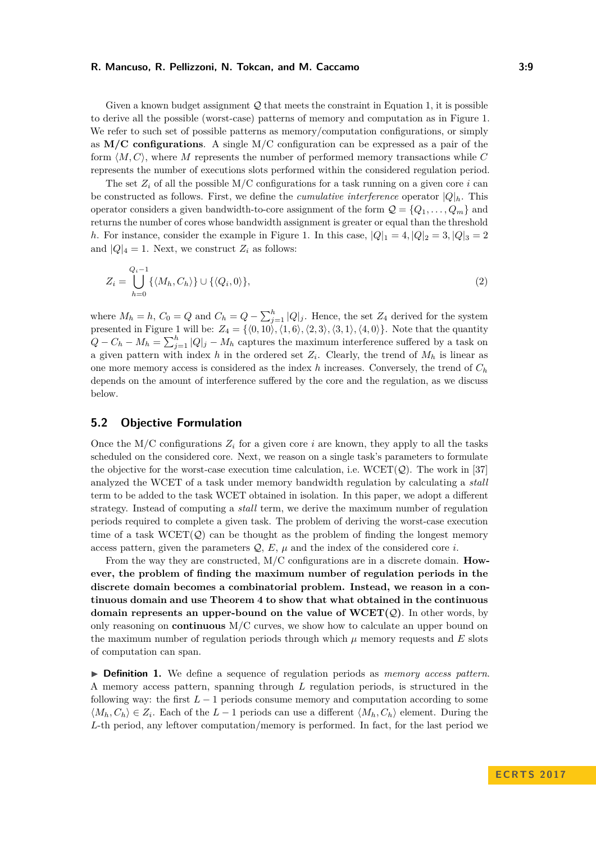Given a known budget assignment  $\mathcal Q$  that meets the constraint in Equation [1,](#page-6-1) it is possible to derive all the possible (worst-case) patterns of memory and computation as in Figure [1.](#page-7-0) We refer to such set of possible patterns as memory/computation configurations, or simply as **M/C configurations**. A single M/C configuration can be expressed as a pair of the form  $\langle M, C \rangle$ , where *M* represents the number of performed memory transactions while *C* represents the number of executions slots performed within the considered regulation period.

The set  $Z_i$  of all the possible M/C configurations for a task running on a given core *i* can be constructed as follows. First, we define the *cumulative interference* operator  $|Q|_h$ . This operator considers a given bandwidth-to-core assignment of the form  $\mathcal{Q} = \{Q_1, \ldots, Q_m\}$  and returns the number of cores whose bandwidth assignment is greater or equal than the threshold *h*. For instance, consider the example in Figure [1.](#page-7-0) In this case,  $|Q|_1 = 4$ ,  $|Q|_2 = 3$ ,  $|Q|_3 = 2$ and  $|Q|_4 = 1$ . Next, we construct  $Z_i$  as follows:

$$
Z_i = \bigcup_{h=0}^{Q_i - 1} \{ \langle M_h, C_h \rangle \} \cup \{ \langle Q_i, 0 \rangle \},\tag{2}
$$

where  $M_h = h$ ,  $C_0 = Q$  and  $C_h = Q - \sum_{j=1}^h |Q|_j$ . Hence, the set  $Z_4$  derived for the system presented in Figure [1](#page-7-0) will be:  $Z_4 = \{\langle 0, 10 \rangle, \langle 1, 6 \rangle, \langle 2, 3 \rangle, \langle 3, 1 \rangle, \langle 4, 0 \rangle\}.$  Note that the quantity  $Q - C_h - M_h = \sum_{j=1}^h |Q|_j - M_h$  captures the maximum interference suffered by a task on a given pattern with index *h* in the ordered set  $Z_i$ . Clearly, the trend of  $M_h$  is linear as one more memory access is considered as the index *h* increases. Conversely, the trend of  $C_h$ depends on the amount of interference suffered by the core and the regulation, as we discuss below.

# **5.2 Objective Formulation**

Once the M/C configurations  $Z_i$  for a given core  $i$  are known, they apply to all the tasks scheduled on the considered core. Next, we reason on a single task's parameters to formulate the objective for the worst-case execution time calculation, i.e.  $WCEPT(Q)$ . The work in [\[37\]](#page-22-1) analyzed the WCET of a task under memory bandwidth regulation by calculating a *stall* term to be added to the task WCET obtained in isolation. In this paper, we adopt a different strategy. Instead of computing a *stall* term, we derive the maximum number of regulation periods required to complete a given task. The problem of deriving the worst-case execution time of a task  $WCEPT(Q)$  can be thought as the problem of finding the longest memory access pattern, given the parameters  $Q$ ,  $E$ ,  $\mu$  and the index of the considered core *i*.

From the way they are constructed, M/C configurations are in a discrete domain. **However, the problem of finding the maximum number of regulation periods in the discrete domain becomes a combinatorial problem. Instead, we reason in a continuous domain and use Theorem [4](#page-13-0) to show that what obtained in the continuous domain represents an upper-bound on the value of**  $WCET(Q)$ **.** In other words, by only reasoning on **continuous** M/C curves, we show how to calculate an upper bound on the maximum number of regulation periods through which  $\mu$  memory requests and  $E$  slots of computation can span.

<span id="page-8-0"></span>I **Definition 1.** We define a sequence of regulation periods as *memory access pattern*. A memory access pattern, spanning through *L* regulation periods, is structured in the following way: the first  $L-1$  periods consume memory and computation according to some  $\langle M_h, C_h \rangle \in Z_i$ . Each of the *L* − 1 periods can use a different  $\langle M_h, C_h \rangle$  element. During the *L*-th period, any leftover computation/memory is performed. In fact, for the last period we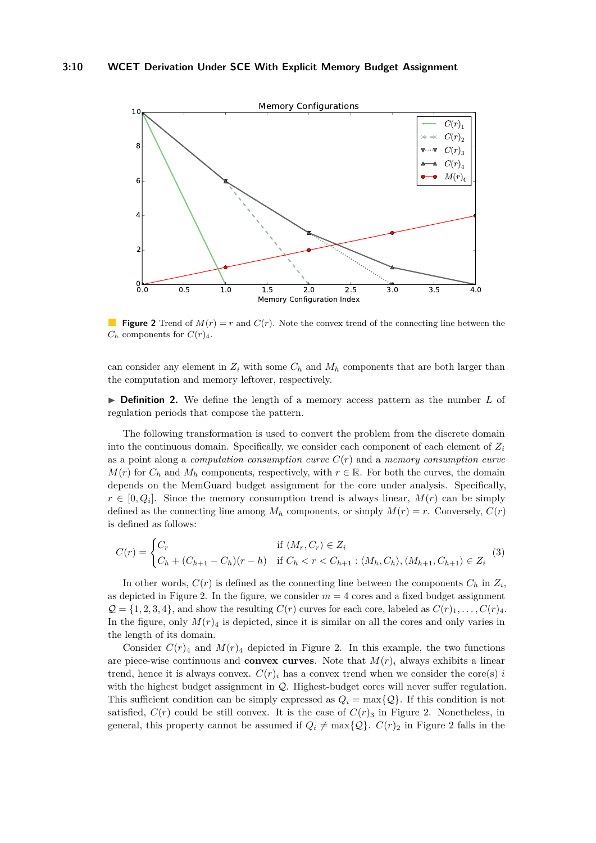<span id="page-9-0"></span>

**Figure 2** Trend of  $M(r) = r$  and  $C(r)$ . Note the convex trend of the connecting line between the  $C_h$  components for  $C(r)_4$ .

can consider any element in  $Z_i$  with some  $C_h$  and  $M_h$  components that are both larger than the computation and memory leftover, respectively.

 $\triangleright$  **Definition 2.** We define the length of a memory access pattern as the number L of regulation periods that compose the pattern.

The following transformation is used to convert the problem from the discrete domain into the continuous domain. Specifically, we consider each component of each element of *Z<sup>i</sup>* as a point along a *computation consumption curve C*(*r*) and a *memory consumption curve*  $M(r)$  for  $C_h$  and  $M_h$  components, respectively, with  $r \in \mathbb{R}$ . For both the curves, the domain depends on the MemGuard budget assignment for the core under analysis. Specifically,  $r \in [0, Q_i]$ . Since the memory consumption trend is always linear,  $M(r)$  can be simply defined as the connecting line among  $M_h$  components, or simply  $M(r) = r$ . Conversely,  $C(r)$ is defined as follows:

$$
C(r) = \begin{cases} C_r & \text{if } \langle M_r, C_r \rangle \in Z_i \\ C_h + (C_{h+1} - C_h)(r - h) & \text{if } C_h < r < C_{h+1} : \langle M_h, C_h \rangle, \langle M_{h+1}, C_{h+1} \rangle \in Z_i \end{cases} \tag{3}
$$

In other words,  $C(r)$  is defined as the connecting line between the components  $C_h$  in  $Z_i$ , as depicted in Figure [2.](#page-9-0) In the figure, we consider  $m = 4$  cores and a fixed budget assignment  $Q = \{1, 2, 3, 4\}$ , and show the resulting  $C(r)$  curves for each core, labeled as  $C(r)_{1}, \ldots, C(r)_{4}$ . In the figure, only  $M(r)$ <sub>4</sub> is depicted, since it is similar on all the cores and only varies in the length of its domain.

Consider  $C(r)_4$  and  $M(r)_4$  depicted in Figure [2.](#page-9-0) In this example, the two functions are piece-wise continuous and **convex curves**. Note that  $M(r)$ <sup>*i*</sup> always exhibits a linear trend, hence it is always convex.  $C(r)_i$  has a convex trend when we consider the core(s) *i* with the highest budget assignment in  $Q$ . Highest-budget cores will never suffer regulation. This sufficient condition can be simply expressed as  $Q_i = \max\{Q\}$ . If this condition is not satisfied,  $C(r)$  could be still convex. It is the case of  $C(r)$ <sub>3</sub> in Figure [2.](#page-9-0) Nonetheless, in general, this property cannot be assumed if  $Q_i \neq \max\{Q\}$ .  $C(r)_2$  in Figure [2](#page-9-0) falls in the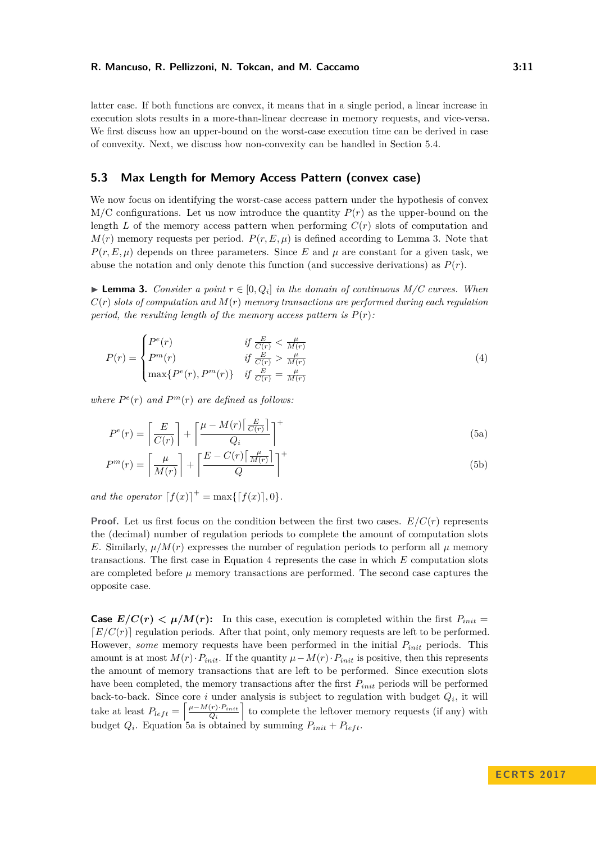latter case. If both functions are convex, it means that in a single period, a linear increase in execution slots results in a more-than-linear decrease in memory requests, and vice-versa. We first discuss how an upper-bound on the worst-case execution time can be derived in case of convexity. Next, we discuss how non-convexity can be handled in Section [5.4.](#page-15-1)

### **5.3 Max Length for Memory Access Pattern (convex case)**

We now focus on identifying the worst-case access pattern under the hypothesis of convex  $M/C$  configurations. Let us now introduce the quantity  $P(r)$  as the upper-bound on the length *L* of the memory access pattern when performing *C*(*r*) slots of computation and  $M(r)$  memory requests per period.  $P(r, E, \mu)$  is defined according to Lemma [3.](#page-10-0) Note that  $P(r, E, \mu)$  depends on three parameters. Since *E* and  $\mu$  are constant for a given task, we abuse the notation and only denote this function (and successive derivations) as  $P(r)$ .

<span id="page-10-0"></span>**Lemma 3.** *Consider a point*  $r \in [0, Q_i]$  *in the domain of continuous M/C curves. When*  $C(r)$  *slots of computation and*  $M(r)$  *memory transactions are performed during each regulation period, the resulting length of the memory access pattern is*  $P(r)$ :

<span id="page-10-1"></span>
$$
P(r) = \begin{cases} P^{e}(r) & \text{if } \frac{E}{C(r)} < \frac{\mu}{M(r)}\\ P^{m}(r) & \text{if } \frac{E}{C(r)} > \frac{\mu}{M(r)}\\ \max\{P^{e}(r), P^{m}(r)\} & \text{if } \frac{E}{C(r)} = \frac{\mu}{M(r)} \end{cases}
$$
(4)

where  $P^e(r)$  and  $P^m(r)$  are defined as follows:

<span id="page-10-3"></span><span id="page-10-2"></span>
$$
P^{e}(r) = \left[\frac{E}{C(r)}\right] + \left[\frac{\mu - M(r)\left[\frac{E}{C(r)}\right]}{Q_i}\right]^{+}
$$
\n(5a)

$$
P^{m}(r) = \left\lceil \frac{\mu}{M(r)} \right\rceil + \left\lceil \frac{E - C(r) \left\lceil \frac{\mu}{M(r)} \right\rceil}{Q} \right\rceil^{+}
$$
\n(5b)

*and the operator*  $[f(x)]^+ = \max\{[f(x)], 0\}.$ 

**Proof.** Let us first focus on the condition between the first two cases.  $E/C(r)$  represents the (decimal) number of regulation periods to complete the amount of computation slots *E*. Similarly,  $\mu/M(r)$  expresses the number of regulation periods to perform all  $\mu$  memory transactions. The first case in Equation [4](#page-10-1) represents the case in which *E* computation slots are completed before  $\mu$  memory transactions are performed. The second case captures the opposite case.

**Case**  $E/C(r) < \mu/M(r)$ : In this case, execution is completed within the first  $P_{init} =$  $E/C(r)$  regulation periods. After that point, only memory requests are left to be performed. However, *some* memory requests have been performed in the initial *Pinit* periods. This amount is at most  $M(r) \cdot P_{init}$ . If the quantity  $\mu - M(r) \cdot P_{init}$  is positive, then this represents the amount of memory transactions that are left to be performed. Since execution slots have been completed, the memory transactions after the first  $P_{init}$  periods will be performed back-to-back. Since core  $i$  under analysis is subject to regulation with budget  $Q_i$ , it will take at least  $P_{left} = \frac{\mu - M(r) \cdot P_{init}}{Q}$  $\left(\frac{(r) \cdot P_{init}}{Q_i}\right)$  to complete the leftover memory requests (if any) with budget  $Q_i$ . Equation [5a](#page-10-2) is obtained by summing  $P_{init} + P_{left}$ .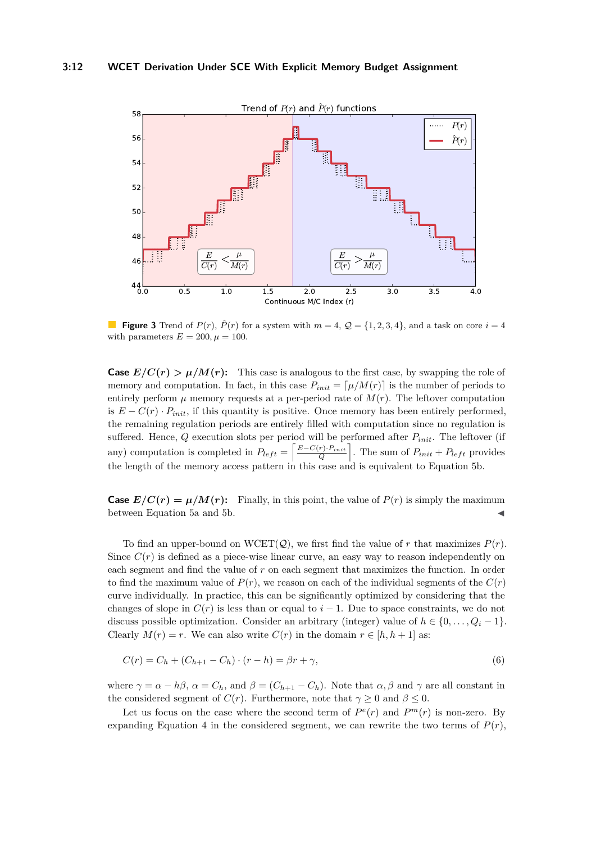

**Figure 3** Trend of  $P(r)$ ,  $\hat{P}(r)$  for a system with  $m = 4$ ,  $Q = \{1, 2, 3, 4\}$ , and a task on core  $i = 4$ with parameters  $E = 200, \mu = 100$ .

**Case**  $E/C(r) > \mu/M(r)$ : This case is analogous to the first case, by swapping the role of memory and computation. In fact, in this case  $P_{init} = [\mu/M(r)]$  is the number of periods to entirely perform  $\mu$  memory requests at a per-period rate of  $M(r)$ . The leftover computation is  $E - C(r) \cdot P_{init}$ , if this quantity is positive. Once memory has been entirely performed, the remaining regulation periods are entirely filled with computation since no regulation is suffered. Hence, *Q* execution slots per period will be performed after *Pinit*. The leftover (if any) computation is completed in  $P_{left} = \left[\frac{E-C(r) \cdot P_{init}}{Q}\right]$ . The sum of  $P_{init} + P_{left}$  provides the length of the memory access pattern in this case and is equivalent to Equation [5b.](#page-10-3)

**Case**  $E/C(r) = \mu/M(r)$ : Finally, in this point, the value of  $P(r)$  is simply the maximum between Equation [5a](#page-10-2) and [5b.](#page-10-3)

To find an upper-bound on  $WCET(Q)$ , we first find the value of r that maximizes  $P(r)$ . Since  $C(r)$  is defined as a piece-wise linear curve, an easy way to reason independently on each segment and find the value of *r* on each segment that maximizes the function. In order to find the maximum value of  $P(r)$ , we reason on each of the individual segments of the  $C(r)$ curve individually. In practice, this can be significantly optimized by considering that the changes of slope in  $C(r)$  is less than or equal to  $i-1$ . Due to space constraints, we do not discuss possible optimization. Consider an arbitrary (integer) value of  $h \in \{0, \ldots, Q_i - 1\}$ . Clearly  $M(r) = r$ . We can also write  $C(r)$  in the domain  $r \in [h, h + 1]$  as:

$$
C(r) = C_h + (C_{h+1} - C_h) \cdot (r - h) = \beta r + \gamma,
$$
\n(6)

where  $\gamma = \alpha - h\beta$ ,  $\alpha = C_h$ , and  $\beta = (C_{h+1} - C_h)$ . Note that  $\alpha, \beta$  and  $\gamma$  are all constant in the considered segment of *C*(*r*). Furthermore, note that  $\gamma \geq 0$  and  $\beta \leq 0$ .

Let us focus on the case where the second term of  $P^e(r)$  and  $P^m(r)$  is non-zero. By expanding Equation [4](#page-10-1) in the considered segment, we can rewrite the two terms of  $P(r)$ ,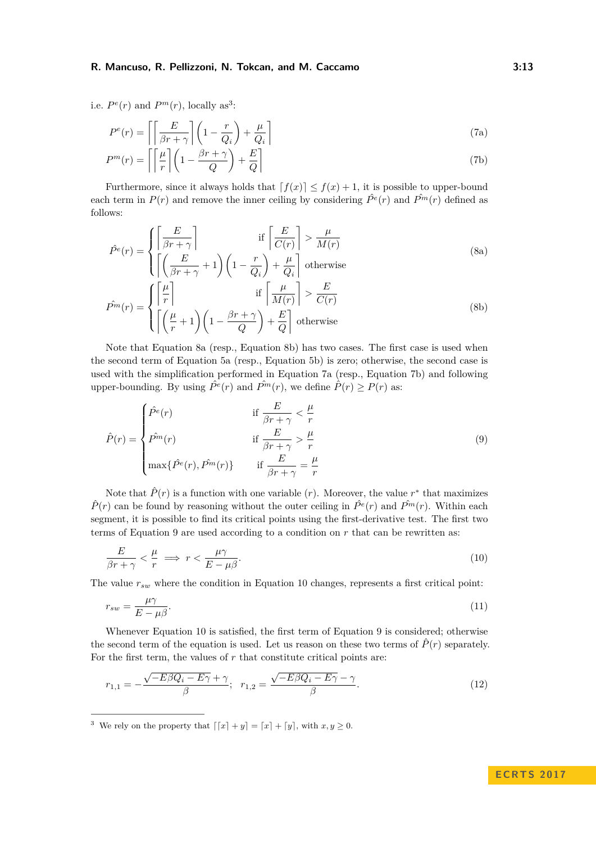i.e.  $P^e(r)$  and  $P^m(r)$ , locally as<sup>[3](#page-12-0)</sup>:

<span id="page-12-4"></span><span id="page-12-3"></span>
$$
P^{e}(r) = \left\lceil \left\lceil \frac{E}{\beta r + \gamma} \right\rceil \left( 1 - \frac{r}{Q_i} \right) + \frac{\mu}{Q_i} \right\rceil
$$
\n
$$
P^{m}(r) = \left\lceil \left\lceil \frac{\mu}{r} \right\rceil \left( 1 - \frac{\beta r + \gamma}{Q} \right) + \frac{E}{Q} \right\rceil
$$
\n(7b)

Furthermore, since it always holds that  $f(x) \leq f(x) + 1$ , it is possible to upper-bound each term in  $P(r)$  and remove the inner ceiling by considering  $\hat{P}^e(r)$  and  $\hat{P}^m(r)$  defined as follows:

<span id="page-12-1"></span>
$$
\hat{P}^e(r) = \begin{cases} \left[ \frac{E}{\beta r + \gamma} \right] & \text{if } \left[ \frac{E}{C(r)} \right] > \frac{\mu}{M(r)}\\ \left[ \left( \frac{E}{\beta r + \gamma} + 1 \right) \left( 1 - \frac{r}{Q_i} \right) + \frac{\mu}{Q_i} \right] & \text{otherwise} \end{cases}
$$
\n(8a)

<span id="page-12-2"></span>
$$
\hat{P}^{m}(r) = \begin{cases}\n\left[\frac{\mu}{r}\right] & \text{if } \left[\frac{\mu}{M(r)}\right] > \frac{E}{C(r)} \\
\left[\left(\frac{\mu}{r} + 1\right)\left(1 - \frac{\beta r + \gamma}{Q}\right) + \frac{E}{Q}\right] & \text{otherwise}\n\end{cases}
$$
\n(8b)

Note that Equation [8a](#page-12-1) (resp., Equation [8b\)](#page-12-2) has two cases. The first case is used when the second term of Equation [5a](#page-10-2) (resp., Equation [5b\)](#page-10-3) is zero; otherwise, the second case is used with the simplification performed in Equation [7a](#page-12-3) (resp., Equation [7b\)](#page-12-4) and following upper-bounding. By using  $\hat{P}^e(r)$  and  $\hat{P}^m(r)$ , we define  $\hat{P}(r) \geq P(r)$  as:

<span id="page-12-5"></span>
$$
\hat{P}(r) = \begin{cases}\n\hat{P}^e(r) & \text{if } \frac{E}{\beta r + \gamma} < \frac{\mu}{r} \\
\hat{P}^m(r) & \text{if } \frac{E}{\beta r + \gamma} > \frac{\mu}{r} \\
\max\{\hat{P}^e(r), \hat{P}^m(r)\} & \text{if } \frac{E}{\beta r + \gamma} = \frac{\mu}{r}\n\end{cases}
$$
\n(9)

Note that  $\hat{P}(r)$  is a function with one variable  $(r)$ . Moreover, the value  $r^*$  that maximizes  $\hat{P}(r)$  can be found by reasoning without the outer ceiling in  $\hat{P}^e(r)$  and  $\hat{P}^m(r)$ . Within each segment, it is possible to find its critical points using the first-derivative test. The first two terms of Equation [9](#page-12-5) are used according to a condition on  $r$  that can be rewritten as:

<span id="page-12-6"></span>
$$
\frac{E}{\beta r + \gamma} < \frac{\mu}{r} \implies r < \frac{\mu \gamma}{E - \mu \beta}.\tag{10}
$$

The value *rsw* where the condition in Equation [10](#page-12-6) changes, represents a first critical point:

$$
r_{sw} = \frac{\mu \gamma}{E - \mu \beta}.\tag{11}
$$

Whenever Equation [10](#page-12-6) is satisfied, the first term of Equation [9](#page-12-5) is considered; otherwise the second term of the equation is used. Let us reason on these two terms of  $\hat{P}(r)$  separately. For the first term, the values of  $r$  that constitute critical points are:

$$
r_{1,1} = -\frac{\sqrt{-E\beta Q_i - E\gamma} + \gamma}{\beta}; \ \ r_{1,2} = \frac{\sqrt{-E\beta Q_i - E\gamma} - \gamma}{\beta}.
$$
\n
$$
\tag{12}
$$

<span id="page-12-0"></span><sup>3</sup> We rely on the property that  $\lfloor x \rfloor + y \rfloor = \lfloor x \rfloor + \lfloor y \rfloor$ , with  $x, y \ge 0$ .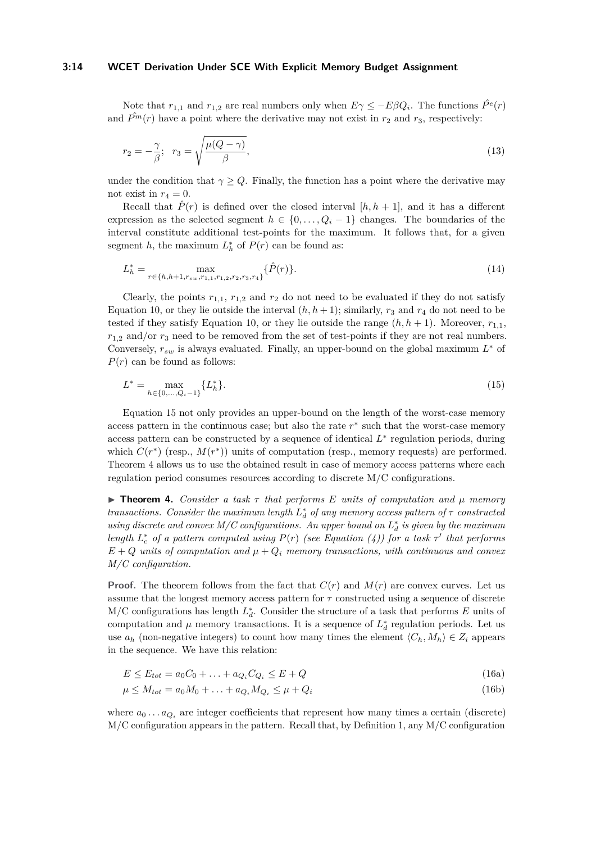### **3:14 WCET Derivation Under SCE With Explicit Memory Budget Assignment**

Note that  $r_{1,1}$  and  $r_{1,2}$  are real numbers only when  $E\gamma \le -E\beta Q_i$ . The functions  $\hat{P}^e(r)$ and  $\hat{P}^m(r)$  have a point where the derivative may not exist in  $r_2$  and  $r_3$ , respectively:

$$
r_2 = -\frac{\gamma}{\beta}; \quad r_3 = \sqrt{\frac{\mu(Q-\gamma)}{\beta}},\tag{13}
$$

under the condition that  $\gamma \geq Q$ . Finally, the function has a point where the derivative may not exist in  $r_4 = 0$ .

Recall that  $\hat{P}(r)$  is defined over the closed interval  $[h, h + 1]$ , and it has a different expression as the selected segment  $h \in \{0, \ldots, Q_i - 1\}$  changes. The boundaries of the interval constitute additional test-points for the maximum. It follows that, for a given segment *h*, the maximum  $L_h^*$  of  $P(r)$  can be found as:

$$
L_h^* = \max_{r \in \{h, h+1, r_{sw}, r_{1,1}, r_{1,2}, r_2, r_3, r_4\}} \{\hat{P}(r)\}.
$$
\n(14)

Clearly, the points  $r_{1,1}$ ,  $r_{1,2}$  and  $r_2$  do not need to be evaluated if they do not satisfy Equation [10,](#page-12-6) or they lie outside the interval  $(h, h + 1)$ ; similarly,  $r_3$  and  $r_4$  do not need to be tested if they satisfy Equation [10,](#page-12-6) or they lie outside the range  $(h, h + 1)$ . Moreover,  $r_{1,1}$ ,  $r_{1,2}$  and/or  $r_3$  need to be removed from the set of test-points if they are not real numbers. Conversely,  $r_{sw}$  is always evaluated. Finally, an upper-bound on the global maximum  $L^*$  of  $P(r)$  can be found as follows:

<span id="page-13-1"></span>
$$
L^* = \max_{h \in \{0, \dots, Q_i - 1\}} \{L_h^*\}.
$$
\n(15)

Equation [15](#page-13-1) not only provides an upper-bound on the length of the worst-case memory access pattern in the continuous case; but also the rate  $r^*$  such that the worst-case memory access pattern can be constructed by a sequence of identical  $L^*$  regulation periods, during which  $C(r^*)$  (resp.,  $M(r^*)$ ) units of computation (resp., memory requests) are performed. Theorem [4](#page-13-0) allows us to use the obtained result in case of memory access patterns where each regulation period consumes resources according to discrete M/C configurations.

<span id="page-13-0"></span>I **Theorem 4.** *Consider a task τ that performs E units of computation and µ memory transactions.* Consider the maximum length  $L_d^*$  of any memory access pattern of  $\tau$  constructed *using discrete and convex M/C configurations. An upper bound on*  $L_d^*$  *is given by the maximum length*  $L_c^*$  *of a pattern computed using*  $P(r)$  *(see Equation [\(4\)](#page-10-1))* for a task  $\tau'$  that performs  $E + Q$  *units of computation and*  $\mu + Q_i$  *memory transactions, with continuous and convex M/C configuration.*

**Proof.** The theorem follows from the fact that  $C(r)$  and  $M(r)$  are convex curves. Let us assume that the longest memory access pattern for *τ* constructed using a sequence of discrete  $M/C$  configurations has length  $L_d^*$ . Consider the structure of a task that performs  $E$  units of computation and  $\mu$  memory transactions. It is a sequence of  $L_d^*$  regulation periods. Let us use  $a_h$  (non-negative integers) to count how many times the element  $\langle C_h, M_h \rangle \in Z_i$  appears in the sequence. We have this relation:

$$
E \le E_{tot} = a_0 C_0 + \dots + a_{Q_i} C_{Q_i} \le E + Q \tag{16a}
$$

$$
\mu \le M_{tot} = a_0 M_0 + \ldots + a_{Q_i} M_{Q_i} \le \mu + Q_i \tag{16b}
$$

where  $a_0 \ldots a_{Q_i}$  are integer coefficients that represent how many times a certain (discrete) M/C configuration appears in the pattern. Recall that, by Definition [1,](#page-8-0) any M/C configuration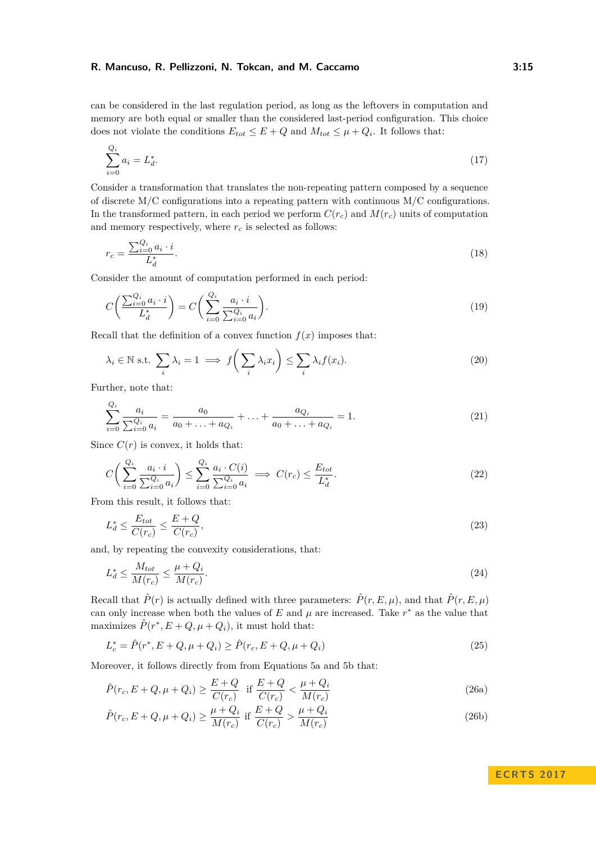can be considered in the last regulation period, as long as the leftovers in computation and memory are both equal or smaller than the considered last-period configuration. This choice does not violate the conditions  $E_{tot} \leq E + Q$  and  $M_{tot} \leq \mu + Q_i$ . It follows that:

$$
\sum_{i=0}^{Q_i} a_i = L_d^*.
$$
\n(17)

Consider a transformation that translates the non-repeating pattern composed by a sequence of discrete  $M/C$  configurations into a repeating pattern with continuous  $M/C$  configurations. In the transformed pattern, in each period we perform  $C(r_c)$  and  $M(r_c)$  units of computation and memory respectively, where  $r_c$  is selected as follows:

$$
r_c = \frac{\sum_{i=0}^{Q_i} a_i \cdot i}{L_d^*}.
$$
\n(18)

Consider the amount of computation performed in each period:

$$
C\left(\frac{\sum_{i=0}^{Q_i} a_i \cdot i}{L_d^*}\right) = C\left(\sum_{i=0}^{Q_i} \frac{a_i \cdot i}{\sum_{i=0}^{Q_i} a_i}\right). \tag{19}
$$

Recall that the definition of a convex function  $f(x)$  imposes that:

$$
\lambda_i \in \mathbb{N} \text{ s.t. } \sum_i \lambda_i = 1 \implies f\left(\sum_i \lambda_i x_i\right) \le \sum_i \lambda_i f(x_i). \tag{20}
$$

Further, note that:

 $\alpha$ 

$$
\sum_{i=0}^{Q_i} \frac{a_i}{\sum_{i=0}^{Q_i} a_i} = \frac{a_0}{a_0 + \ldots + a_{Q_i}} + \ldots + \frac{a_{Q_i}}{a_0 + \ldots + a_{Q_i}} = 1.
$$
\n(21)

Since  $C(r)$  is convex, it holds that:

$$
C\left(\sum_{i=0}^{Q_i} \frac{a_i \cdot i}{\sum_{i=0}^{Q_i} a_i}\right) \le \sum_{i=0}^{Q_i} \frac{a_i \cdot C(i)}{\sum_{i=0}^{Q_i} a_i} \implies C(r_c) \le \frac{E_{tot}}{L_d^*}.
$$
\n
$$
(22)
$$

From this result, it follows that:

<span id="page-14-2"></span>
$$
L_d^* \le \frac{E_{tot}}{C(r_c)} \le \frac{E+Q}{C(r_c)},\tag{23}
$$

and, by repeating the convexity considerations, that:

$$
L_d^* \le \frac{M_{tot}}{M(r_c)} \le \frac{\mu + Q_i}{M(r_c)}.\tag{24}
$$

Recall that  $\hat{P}(r)$  is actually defined with three parameters:  $\hat{P}(r, E, \mu)$ , and that  $\hat{P}(r, E, \mu)$ can only increase when both the values of  $E$  and  $\mu$  are increased. Take  $r^*$  as the value that maximizes  $\hat{P}(r^*, E + Q, \mu + Q_i)$ , it must hold that:

$$
L_c^* = \hat{P}(r^*, E + Q, \mu + Q_i) \ge \hat{P}(r_c, E + Q, \mu + Q_i)
$$
\n(25)

Moreover, it follows directly from from Equations [5a](#page-10-2) and [5b](#page-10-3) that:

$$
\hat{P}(r_c, E + Q, \mu + Q_i) \ge \frac{E + Q}{C(r_c)} \quad \text{if } \frac{E + Q}{C(r_c)} < \frac{\mu + Q_i}{M(r_c)}\tag{26a}
$$

$$
\hat{P}(r_c, E + Q, \mu + Q_i) \ge \frac{\mu + Q_i}{M(r_c)} \text{ if } \frac{E + Q}{C(r_c)} > \frac{\mu + Q_i}{M(r_c)} \tag{26b}
$$

<span id="page-14-1"></span><span id="page-14-0"></span>**E C R T S 2 0 1 7**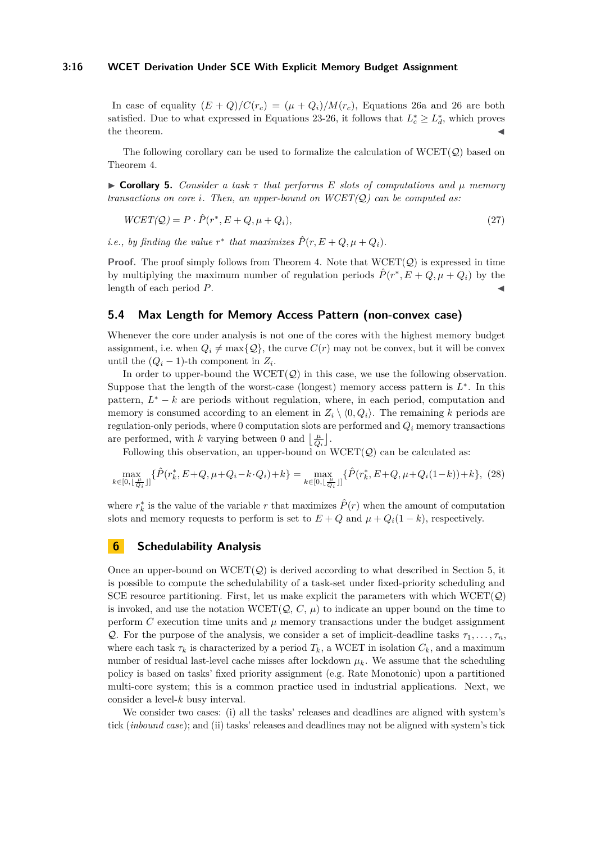### **3:16 WCET Derivation Under SCE With Explicit Memory Budget Assignment**

In case of equality  $(E+Q)/C(r_c) = (\mu+Q_i)/M(r_c)$ , Equations [26a](#page-14-0) and [26](#page-14-1) are both satisfied. Due to what expressed in Equations [23](#page-14-2)[-26,](#page-14-1) it follows that  $L_c^* \geq L_d^*$ , which proves  $\blacksquare$  the theorem.

The following corollary can be used to formalize the calculation of  $WCEPT(Q)$  based on Theorem [4.](#page-13-0)

<span id="page-15-2"></span>I **Corollary 5.** *Consider a task τ that performs E slots of computations and µ memory transactions on core i. Then, an upper-bound on WCET(*Q*) can be computed as:*

$$
WCET(Q) = P \cdot \hat{P}(r^*, E + Q, \mu + Q_i),\tag{27}
$$

*i.e.*, by finding the value  $r^*$  that maximizes  $\hat{P}(r, E + Q, \mu + Q_i)$ .

**Proof.** The proof simply follows from Theorem [4.](#page-13-0) Note that  $WCET(Q)$  is expressed in time by multiplying the maximum number of regulation periods  $\hat{P}(r^*, E + Q, \mu + Q_i)$  by the length of each period P.

# <span id="page-15-1"></span>**5.4 Max Length for Memory Access Pattern (non-convex case)**

Whenever the core under analysis is not one of the cores with the highest memory budget assignment, i.e. when  $Q_i \neq \max\{Q\}$ , the curve  $C(r)$  may not be convex, but it will be convex until the  $(Q_i - 1)$ -th component in  $Z_i$ .

In order to upper-bound the  $WCEPT(Q)$  in this case, we use the following observation. Suppose that the length of the worst-case (longest) memory access pattern is *L* ∗ . In this pattern,  $L^* - k$  are periods without regulation, where, in each period, computation and memory is consumed according to an element in  $Z_i \setminus \langle 0, Q_i \rangle$ . The remaining *k* periods are regulation-only periods, where 0 computation slots are performed and *Q<sup>i</sup>* memory transactions are performed, with *k* varying between 0 and  $\left\lfloor \frac{\mu}{Q_i} \right\rfloor$ .

Following this observation, an upper-bound on  $WCET(Q)$  can be calculated as:

$$
\max_{k \in [0, \lfloor \frac{\mu}{Q_i} \rfloor]} \{\hat{P}(r_k^*, E + Q, \mu + Q_i - k \cdot Q_i) + k\} = \max_{k \in [0, \lfloor \frac{\mu}{Q_i} \rfloor]} \{\hat{P}(r_k^*, E + Q, \mu + Q_i(1 - k)) + k\}, (28)
$$

where  $r_k^*$  is the value of the variable  $r$  that maximizes  $\hat{P}(r)$  when the amount of computation slots and memory requests to perform is set to  $E + Q$  and  $\mu + Q_i(1 - k)$ , respectively.

# <span id="page-15-0"></span>**6 Schedulability Analysis**

Once an upper-bound on  $WCET(Q)$  is derived according to what described in Section [5,](#page-6-0) it is possible to compute the schedulability of a task-set under fixed-priority scheduling and SCE resource partitioning. First, let us make explicit the parameters with which  $WCET(Q)$ is invoked, and use the notation  $WCEPT(Q, C, \mu)$  to indicate an upper bound on the time to perform  $C$  execution time units and  $\mu$  memory transactions under the budget assignment Q. For the purpose of the analysis, we consider a set of implicit-deadline tasks  $\tau_1, \ldots, \tau_n$ , where each task  $\tau_k$  is characterized by a period  $T_k$ , a WCET in isolation  $C_k$ , and a maximum number of residual last-level cache misses after lockdown  $\mu_k$ . We assume that the scheduling policy is based on tasks' fixed priority assignment (e.g. Rate Monotonic) upon a partitioned multi-core system; this is a common practice used in industrial applications. Next, we consider a level-*k* busy interval.

We consider two cases: (i) all the tasks' releases and deadlines are aligned with system's tick (*inbound case*); and (ii) tasks' releases and deadlines may not be aligned with system's tick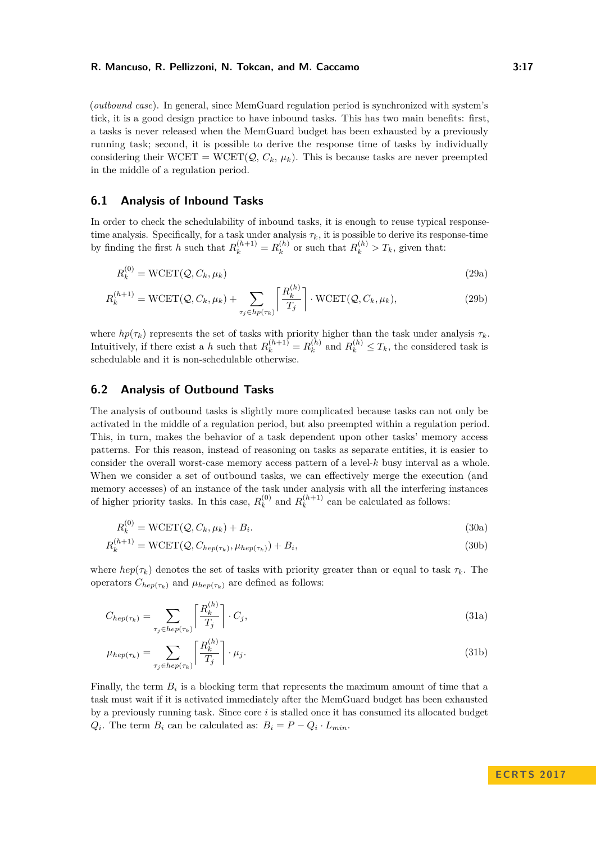(*outbound case*). In general, since MemGuard regulation period is synchronized with system's tick, it is a good design practice to have inbound tasks. This has two main benefits: first, a tasks is never released when the MemGuard budget has been exhausted by a previously running task; second, it is possible to derive the response time of tasks by individually considering their WCET = WCET( $\mathcal{Q}, C_k, \mu_k$ ). This is because tasks are never preempted in the middle of a regulation period.

### **6.1 Analysis of Inbound Tasks**

In order to check the schedulability of inbound tasks, it is enough to reuse typical responsetime analysis. Specifically, for a task under analysis  $\tau_k$ , it is possible to derive its response-time by finding the first *h* such that  $R_k^{(h+1)} = R_k^{(h)}$  $R_k^{(h)}$  or such that  $R_k^{(h)} > T_k$ , given that:

$$
R_k^{(0)} = \text{WCET}(\mathcal{Q}, C_k, \mu_k) \tag{29a}
$$

$$
R_k^{(h+1)} = \text{WCET}(\mathcal{Q}, C_k, \mu_k) + \sum_{\tau_j \in hp(\tau_k)} \left[ \frac{R_k^{(h)}}{T_j} \right] \cdot \text{WCET}(\mathcal{Q}, C_k, \mu_k),\tag{29b}
$$

where  $hp(\tau_k)$  represents the set of tasks with priority higher than the task under analysis  $\tau_k$ . Intuitively, if there exist a *h* such that  $R_k^{(h+1)} = R_k^{(h)}$  $R_k^{(h)}$  and  $R_k^{(h)} \leq T_k$ , the considered task is schedulable and it is non-schedulable otherwise.

# **6.2 Analysis of Outbound Tasks**

The analysis of outbound tasks is slightly more complicated because tasks can not only be activated in the middle of a regulation period, but also preempted within a regulation period. This, in turn, makes the behavior of a task dependent upon other tasks' memory access patterns. For this reason, instead of reasoning on tasks as separate entities, it is easier to consider the overall worst-case memory access pattern of a level-*k* busy interval as a whole. When we consider a set of outbound tasks, we can effectively merge the execution (and memory accesses) of an instance of the task under analysis with all the interfering instances of higher priority tasks. In this case,  $R_k^{(0)}$  $R_k^{(0)}$  and  $R_k^{(h+1)}$  $k_k^{(n+1)}$  can be calculated as follows:

$$
R_k^{(0)} = \text{WCEPT}(\mathcal{Q}, C_k, \mu_k) + B_i.
$$
\n(30a)

$$
R_k^{(h+1)} = \text{WCET}(\mathcal{Q}, C_{hep(\tau_k)}, \mu_{hep(\tau_k)}) + B_i,
$$
\n(30b)

where  $hep(\tau_k)$  denotes the set of tasks with priority greater than or equal to task  $\tau_k$ . The operators  $C_{hep(\tau_k)}$  and  $\mu_{hep(\tau_k)}$  are defined as follows:

$$
C_{hep(\tau_k)} = \sum_{\tau_j \in hep(\tau_k)} \left[ \frac{R_k^{(h)}}{T_j} \right] \cdot C_j,
$$
\n(31a)

$$
\mu_{hep(\tau_k)} = \sum_{\tau_j \in hep(\tau_k)} \left[ \frac{R_k^{(h)}}{T_j} \right] \cdot \mu_j.
$$
\n(31b)

Finally, the term  $B_i$  is a blocking term that represents the maximum amount of time that a task must wait if it is activated immediately after the MemGuard budget has been exhausted by a previously running task. Since core *i* is stalled once it has consumed its allocated budget  $Q_i$ . The term  $B_i$  can be calculated as:  $B_i = P - Q_i \cdot L_{min}$ .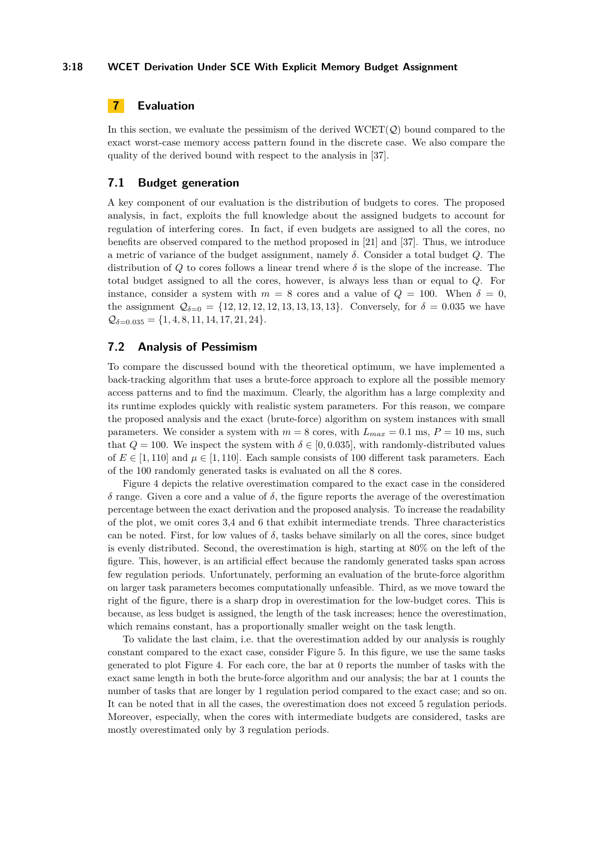# <span id="page-17-0"></span>**7 Evaluation**

In this section, we evaluate the pessimism of the derived  $WCEPT(Q)$  bound compared to the exact worst-case memory access pattern found in the discrete case. We also compare the quality of the derived bound with respect to the analysis in [\[37\]](#page-22-1).

### **7.1 Budget generation**

A key component of our evaluation is the distribution of budgets to cores. The proposed analysis, in fact, exploits the full knowledge about the assigned budgets to account for regulation of interfering cores. In fact, if even budgets are assigned to all the cores, no benefits are observed compared to the method proposed in [\[21\]](#page-21-0) and [\[37\]](#page-22-1). Thus, we introduce a metric of variance of the budget assignment, namely *δ*. Consider a total budget *Q*. The distribution of *Q* to cores follows a linear trend where  $\delta$  is the slope of the increase. The total budget assigned to all the cores, however, is always less than or equal to *Q*. For instance, consider a system with  $m = 8$  cores and a value of  $Q = 100$ . When  $\delta = 0$ , the assignment  $Q_{\delta=0} = \{12, 12, 12, 12, 13, 13, 13, 13\}$ . Conversely, for  $\delta = 0.035$  we have  $Q_{\delta=0.035} = \{1, 4, 8, 11, 14, 17, 21, 24\}.$ 

### **7.2 Analysis of Pessimism**

To compare the discussed bound with the theoretical optimum, we have implemented a back-tracking algorithm that uses a brute-force approach to explore all the possible memory access patterns and to find the maximum. Clearly, the algorithm has a large complexity and its runtime explodes quickly with realistic system parameters. For this reason, we compare the proposed analysis and the exact (brute-force) algorithm on system instances with small parameters. We consider a system with  $m = 8$  cores, with  $L_{max} = 0.1$  ms,  $P = 10$  ms, such that  $Q = 100$ . We inspect the system with  $\delta \in [0, 0.035]$ , with randomly-distributed values of  $E \in [1, 110]$  and  $\mu \in [1, 110]$ . Each sample consists of 100 different task parameters. Each of the 100 randomly generated tasks is evaluated on all the 8 cores.

Figure [4](#page-18-0) depicts the relative overestimation compared to the exact case in the considered *δ* range. Given a core and a value of *δ*, the figure reports the average of the overestimation percentage between the exact derivation and the proposed analysis. To increase the readability of the plot, we omit cores 3,4 and 6 that exhibit intermediate trends. Three characteristics can be noted. First, for low values of  $\delta$ , tasks behave similarly on all the cores, since budget is evenly distributed. Second, the overestimation is high, starting at 80% on the left of the figure. This, however, is an artificial effect because the randomly generated tasks span across few regulation periods. Unfortunately, performing an evaluation of the brute-force algorithm on larger task parameters becomes computationally unfeasible. Third, as we move toward the right of the figure, there is a sharp drop in overestimation for the low-budget cores. This is because, as less budget is assigned, the length of the task increases; hence the overestimation, which remains constant, has a proportionally smaller weight on the task length.

To validate the last claim, i.e. that the overestimation added by our analysis is roughly constant compared to the exact case, consider Figure [5.](#page-19-1) In this figure, we use the same tasks generated to plot Figure [4.](#page-18-0) For each core, the bar at 0 reports the number of tasks with the exact same length in both the brute-force algorithm and our analysis; the bar at 1 counts the number of tasks that are longer by 1 regulation period compared to the exact case; and so on. It can be noted that in all the cases, the overestimation does not exceed 5 regulation periods. Moreover, especially, when the cores with intermediate budgets are considered, tasks are mostly overestimated only by 3 regulation periods.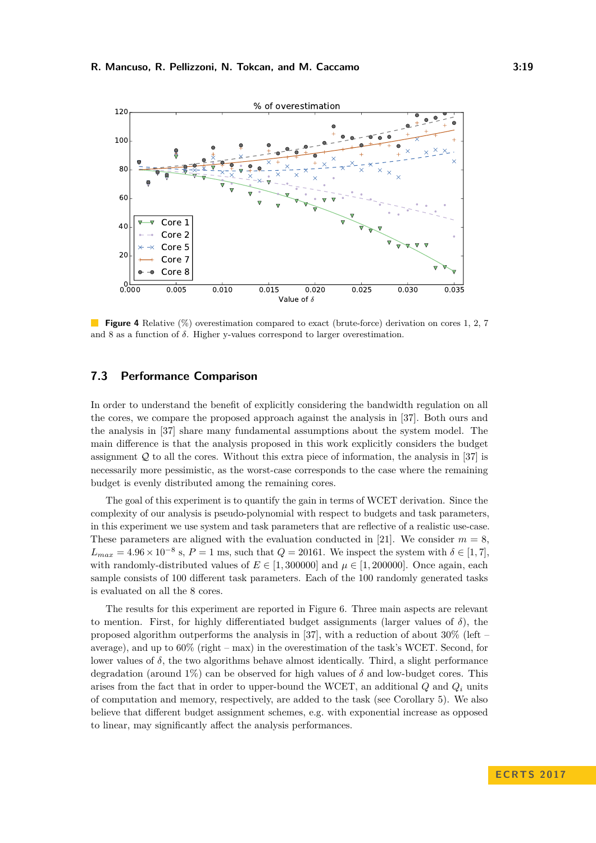<span id="page-18-0"></span>

**Figure 4** Relative (%) overestimation compared to exact (brute-force) derivation on cores 1, 2, 7 and 8 as a function of *δ*. Higher y-values correspond to larger overestimation.

# **7.3 Performance Comparison**

In order to understand the benefit of explicitly considering the bandwidth regulation on all the cores, we compare the proposed approach against the analysis in [\[37\]](#page-22-1). Both ours and the analysis in [\[37\]](#page-22-1) share many fundamental assumptions about the system model. The main difference is that the analysis proposed in this work explicitly considers the budget assignment  $Q$  to all the cores. Without this extra piece of information, the analysis in [\[37\]](#page-22-1) is necessarily more pessimistic, as the worst-case corresponds to the case where the remaining budget is evenly distributed among the remaining cores.

The goal of this experiment is to quantify the gain in terms of WCET derivation. Since the complexity of our analysis is pseudo-polynomial with respect to budgets and task parameters, in this experiment we use system and task parameters that are reflective of a realistic use-case. These parameters are aligned with the evaluation conducted in [\[21\]](#page-21-0). We consider  $m = 8$ ,  $L_{max} = 4.96 \times 10^{-8}$  s,  $P = 1$  ms, such that  $Q = 20161$ . We inspect the system with  $\delta \in [1, 7]$ , with randomly-distributed values of  $E \in [1, 300000]$  and  $\mu \in [1, 200000]$ . Once again, each sample consists of 100 different task parameters. Each of the 100 randomly generated tasks is evaluated on all the 8 cores.

The results for this experiment are reported in Figure [6.](#page-19-2) Three main aspects are relevant to mention. First, for highly differentiated budget assignments (larger values of  $\delta$ ), the proposed algorithm outperforms the analysis in [\[37\]](#page-22-1), with a reduction of about 30% (left – average), and up to 60% (right – max) in the overestimation of the task's WCET. Second, for lower values of  $\delta$ , the two algorithms behave almost identically. Third, a slight performance degradation (around  $1\%$ ) can be observed for high values of  $\delta$  and low-budget cores. This arises from the fact that in order to upper-bound the WCET, an additional  $Q$  and  $Q_i$  units of computation and memory, respectively, are added to the task (see Corollary [5\)](#page-15-2). We also believe that different budget assignment schemes, e.g. with exponential increase as opposed to linear, may significantly affect the analysis performances.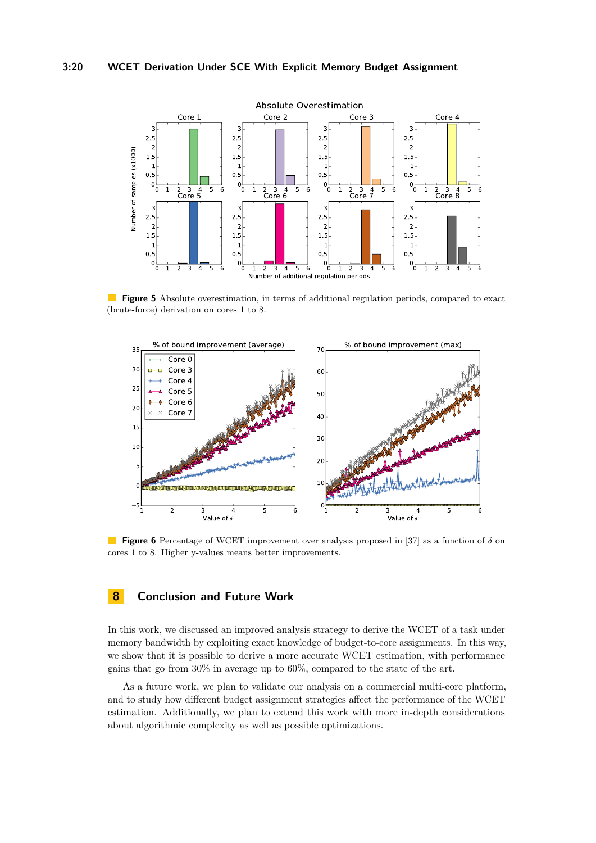<span id="page-19-1"></span>

 $\mathcal{L}^{\mathcal{A}}$ **Figure 5** Absolute overestimation, in terms of additional regulation periods, compared to exact (brute-force) derivation on cores 1 to 8.

<span id="page-19-2"></span>

**Figure 6** Percentage of WCET improvement over analysis proposed in [\[37\]](#page-22-1) as a function of *δ* on cores 1 to 8. Higher y-values means better improvements.

# <span id="page-19-0"></span>**8 Conclusion and Future Work**

In this work, we discussed an improved analysis strategy to derive the WCET of a task under memory bandwidth by exploiting exact knowledge of budget-to-core assignments. In this way, we show that it is possible to derive a more accurate WCET estimation, with performance gains that go from 30% in average up to 60%, compared to the state of the art.

As a future work, we plan to validate our analysis on a commercial multi-core platform, and to study how different budget assignment strategies affect the performance of the WCET estimation. Additionally, we plan to extend this work with more in-depth considerations about algorithmic complexity as well as possible optimizations.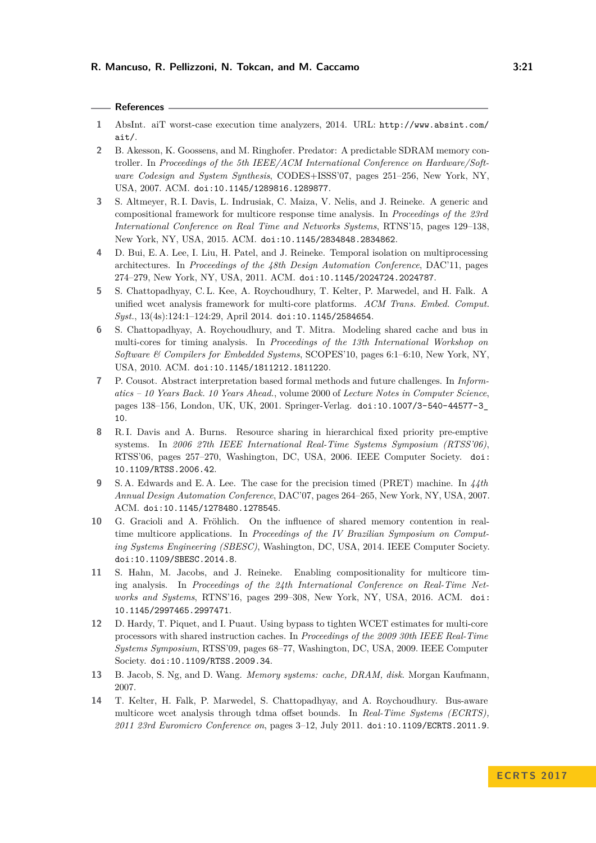### **References**

- <span id="page-20-11"></span>**1** AbsInt. aiT worst-case execution time analyzers, 2014. URL: [http://www.absint.com/](http://www.absint.com/ait/) [ait/](http://www.absint.com/ait/).
- <span id="page-20-6"></span>**2** B. Akesson, K. Goossens, and M. Ringhofer. Predator: A predictable SDRAM memory controller. In *Proceedings of the 5th IEEE/ACM International Conference on Hardware/Software Codesign and System Synthesis*, CODES+ISSS'07, pages 251–256, New York, NY, USA, 2007. ACM. [doi:10.1145/1289816.1289877](http://dx.doi.org/10.1145/1289816.1289877).
- <span id="page-20-8"></span>**3** S. Altmeyer, R. I. Davis, L. Indrusiak, C. Maiza, V. Nelis, and J. Reineke. A generic and compositional framework for multicore response time analysis. In *Proceedings of the 23rd International Conference on Real Time and Networks Systems*, RTNS'15, pages 129–138, New York, NY, USA, 2015. ACM. [doi:10.1145/2834848.2834862](http://dx.doi.org/10.1145/2834848.2834862).
- <span id="page-20-5"></span>**4** D. Bui, E. A. Lee, I. Liu, H. Patel, and J. Reineke. Temporal isolation on multiprocessing architectures. In *Proceedings of the 48th Design Automation Conference*, DAC'11, pages 274–279, New York, NY, USA, 2011. ACM. [doi:10.1145/2024724.2024787](http://dx.doi.org/10.1145/2024724.2024787).
- <span id="page-20-3"></span>**5** S. Chattopadhyay, C. L. Kee, A. Roychoudhury, T. Kelter, P. Marwedel, and H. Falk. A unified wcet analysis framework for multi-core platforms. *ACM Trans. Embed. Comput. Syst.*, 13(4s):124:1–124:29, April 2014. [doi:10.1145/2584654](http://dx.doi.org/10.1145/2584654).
- <span id="page-20-2"></span>**6** S. Chattopadhyay, A. Roychoudhury, and T. Mitra. Modeling shared cache and bus in multi-cores for timing analysis. In *Proceedings of the 13th International Workshop on Software & Compilers for Embedded Systems*, SCOPES'10, pages 6:1–6:10, New York, NY, USA, 2010. ACM. [doi:10.1145/1811212.1811220](http://dx.doi.org/10.1145/1811212.1811220).
- <span id="page-20-10"></span>**7** P. Cousot. Abstract interpretation based formal methods and future challenges. In *Informatics – 10 Years Back. 10 Years Ahead.*, volume 2000 of *Lecture Notes in Computer Science*, pages 138–156, London, UK, UK, 2001. Springer-Verlag. [doi:10.1007/3-540-44577-3\\_](http://dx.doi.org/10.1007/3-540-44577-3_10) [10](http://dx.doi.org/10.1007/3-540-44577-3_10).
- <span id="page-20-7"></span>**8** R. I. Davis and A. Burns. Resource sharing in hierarchical fixed priority pre-emptive systems. In *2006 27th IEEE International Real-Time Systems Symposium (RTSS'06)*, RTSS'06, pages 257–270, Washington, DC, USA, 2006. IEEE Computer Society. [doi:](http://dx.doi.org/10.1109/RTSS.2006.42) [10.1109/RTSS.2006.42](http://dx.doi.org/10.1109/RTSS.2006.42).
- <span id="page-20-4"></span>**9** S. A. Edwards and E. A. Lee. The case for the precision timed (PRET) machine. In *44th Annual Design Automation Conference*, DAC'07, pages 264–265, New York, NY, USA, 2007. ACM. [doi:10.1145/1278480.1278545](http://dx.doi.org/10.1145/1278480.1278545).
- <span id="page-20-12"></span>**10** G. Gracioli and A. Fröhlich. On the influence of shared memory contention in realtime multicore applications. In *Proceedings of the IV Brazilian Symposium on Computing Systems Engineering (SBESC)*, Washington, DC, USA, 2014. IEEE Computer Society. [doi:10.1109/SBESC.2014.8](http://dx.doi.org/10.1109/SBESC.2014.8).
- <span id="page-20-13"></span>**11** S. Hahn, M. Jacobs, and J. Reineke. Enabling compositionality for multicore timing analysis. In *Proceedings of the 24th International Conference on Real-Time Networks and Systems*, RTNS'16, pages 299–308, New York, NY, USA, 2016. ACM. [doi:](http://dx.doi.org/10.1145/2997465.2997471) [10.1145/2997465.2997471](http://dx.doi.org/10.1145/2997465.2997471).
- <span id="page-20-0"></span>**12** D. Hardy, T. Piquet, and I. Puaut. Using bypass to tighten WCET estimates for multi-core processors with shared instruction caches. In *Proceedings of the 2009 30th IEEE Real-Time Systems Symposium*, RTSS'09, pages 68–77, Washington, DC, USA, 2009. IEEE Computer Society. [doi:10.1109/RTSS.2009.34](http://dx.doi.org/10.1109/RTSS.2009.34).
- <span id="page-20-9"></span>**13** B. Jacob, S. Ng, and D. Wang. *Memory systems: cache, DRAM, disk*. Morgan Kaufmann, 2007.
- <span id="page-20-1"></span>**14** T. Kelter, H. Falk, P. Marwedel, S. Chattopadhyay, and A. Roychoudhury. Bus-aware multicore wcet analysis through tdma offset bounds. In *Real-Time Systems (ECRTS), 2011 23rd Euromicro Conference on*, pages 3–12, July 2011. [doi:10.1109/ECRTS.2011.9](http://dx.doi.org/10.1109/ECRTS.2011.9).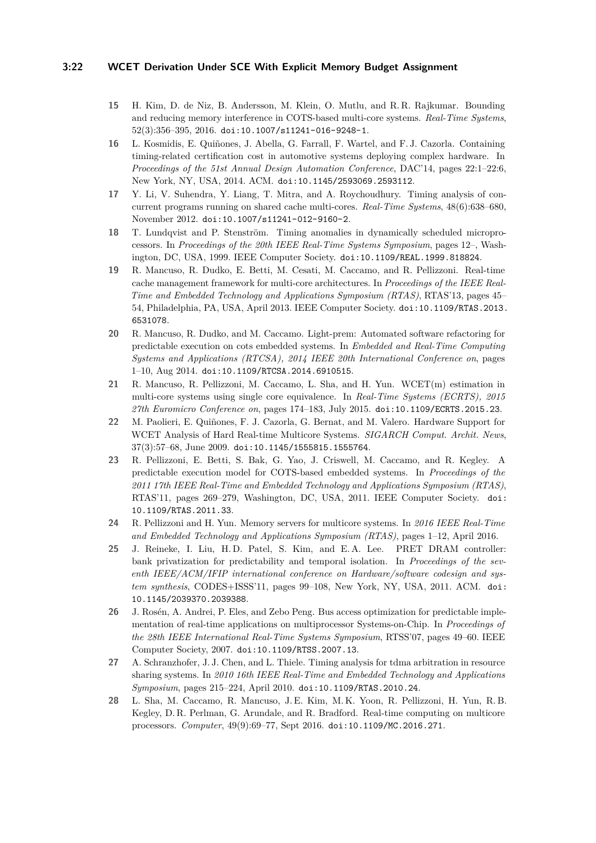### **3:22 WCET Derivation Under SCE With Explicit Memory Budget Assignment**

- <span id="page-21-11"></span>**15** H. Kim, D. de Niz, B. Andersson, M. Klein, O. Mutlu, and R. R. Rajkumar. Bounding and reducing memory interference in COTS-based multi-core systems. *Real-Time Systems*, 52(3):356–395, 2016. [doi:10.1007/s11241-016-9248-1](http://dx.doi.org/10.1007/s11241-016-9248-1).
- <span id="page-21-12"></span>**16** L. Kosmidis, E. Quiñones, J. Abella, G. Farrall, F. Wartel, and F. J. Cazorla. Containing timing-related certification cost in automotive systems deploying complex hardware. In *Proceedings of the 51st Annual Design Automation Conference*, DAC'14, pages 22:1–22:6, New York, NY, USA, 2014. ACM. [doi:10.1145/2593069.2593112](http://dx.doi.org/10.1145/2593069.2593112).
- <span id="page-21-2"></span>**17** Y. Li, V. Suhendra, Y. Liang, T. Mitra, and A. Roychoudhury. Timing analysis of concurrent programs running on shared cache multi-cores. *Real-Time Systems*, 48(6):638–680, November 2012. [doi:10.1007/s11241-012-9160-2](http://dx.doi.org/10.1007/s11241-012-9160-2).
- <span id="page-21-13"></span>**18** T. Lundqvist and P. Stenström. Timing anomalies in dynamically scheduled microprocessors. In *Proceedings of the 20th IEEE Real-Time Systems Symposium*, pages 12–, Washington, DC, USA, 1999. IEEE Computer Society. [doi:10.1109/REAL.1999.818824](http://dx.doi.org/10.1109/REAL.1999.818824).
- <span id="page-21-10"></span>**19** R. Mancuso, R. Dudko, E. Betti, M. Cesati, M. Caccamo, and R. Pellizzoni. Real-time cache management framework for multi-core architectures. In *Proceedings of the IEEE Real-Time and Embedded Technology and Applications Symposium (RTAS)*, RTAS'13, pages 45– 54, Philadelphia, PA, USA, April 2013. IEEE Computer Society. [doi:10.1109/RTAS.2013.](http://dx.doi.org/10.1109/RTAS.2013.6531078) [6531078](http://dx.doi.org/10.1109/RTAS.2013.6531078).
- <span id="page-21-8"></span>**20** R. Mancuso, R. Dudko, and M. Caccamo. Light-prem: Automated software refactoring for predictable execution on cots embedded systems. In *Embedded and Real-Time Computing Systems and Applications (RTCSA), 2014 IEEE 20th International Conference on*, pages 1–10, Aug 2014. [doi:10.1109/RTCSA.2014.6910515](http://dx.doi.org/10.1109/RTCSA.2014.6910515).
- <span id="page-21-0"></span>**21** R. Mancuso, R. Pellizzoni, M. Caccamo, L. Sha, and H. Yun. WCET(m) estimation in multi-core systems using single core equivalence. In *Real-Time Systems (ECRTS), 2015 27th Euromicro Conference on*, pages 174–183, July 2015. [doi:10.1109/ECRTS.2015.23](http://dx.doi.org/10.1109/ECRTS.2015.23).
- <span id="page-21-5"></span>**22** M. Paolieri, E. Quiñones, F. J. Cazorla, G. Bernat, and M. Valero. Hardware Support for WCET Analysis of Hard Real-time Multicore Systems. *SIGARCH Comput. Archit. News*, 37(3):57–68, June 2009. [doi:10.1145/1555815.1555764](http://dx.doi.org/10.1145/1555815.1555764).
- <span id="page-21-7"></span>**23** R. Pellizzoni, E. Betti, S. Bak, G. Yao, J. Criswell, M. Caccamo, and R. Kegley. A predictable execution model for COTS-based embedded systems. In *Proceedings of the 2011 17th IEEE Real-Time and Embedded Technology and Applications Symposium (RTAS)*, RTAS'11, pages 269–279, Washington, DC, USA, 2011. IEEE Computer Society. [doi:](http://dx.doi.org/10.1109/RTAS.2011.33) [10.1109/RTAS.2011.33](http://dx.doi.org/10.1109/RTAS.2011.33).
- <span id="page-21-9"></span>**24** R. Pellizzoni and H. Yun. Memory servers for multicore systems. In *2016 IEEE Real-Time and Embedded Technology and Applications Symposium (RTAS)*, pages 1–12, April 2016.
- <span id="page-21-4"></span>**25** J. Reineke, I. Liu, H. D. Patel, S. Kim, and E. A. Lee. PRET DRAM controller: bank privatization for predictability and temporal isolation. In *Proceedings of the seventh IEEE/ACM/IFIP international conference on Hardware/software codesign and system synthesis*, CODES+ISSS'11, pages 99–108, New York, NY, USA, 2011. ACM. [doi:](http://dx.doi.org/10.1145/2039370.2039388) [10.1145/2039370.2039388](http://dx.doi.org/10.1145/2039370.2039388).
- <span id="page-21-3"></span>**26** J. Rosén, A. Andrei, P. Eles, and Zebo Peng. Bus access optimization for predictable implementation of real-time applications on multiprocessor Systems-on-Chip. In *Proceedings of the 28th IEEE International Real-Time Systems Symposium*, RTSS'07, pages 49–60. IEEE Computer Society, 2007. [doi:10.1109/RTSS.2007.13](http://dx.doi.org/10.1109/RTSS.2007.13).
- <span id="page-21-6"></span>**27** A. Schranzhofer, J. J. Chen, and L. Thiele. Timing analysis for tdma arbitration in resource sharing systems. In *2010 16th IEEE Real-Time and Embedded Technology and Applications Symposium*, pages 215–224, April 2010. [doi:10.1109/RTAS.2010.24](http://dx.doi.org/10.1109/RTAS.2010.24).
- <span id="page-21-1"></span>**28** L. Sha, M. Caccamo, R. Mancuso, J. E. Kim, M. K. Yoon, R. Pellizzoni, H. Yun, R. B. Kegley, D. R. Perlman, G. Arundale, and R. Bradford. Real-time computing on multicore processors. *Computer*, 49(9):69–77, Sept 2016. [doi:10.1109/MC.2016.271](http://dx.doi.org/10.1109/MC.2016.271).